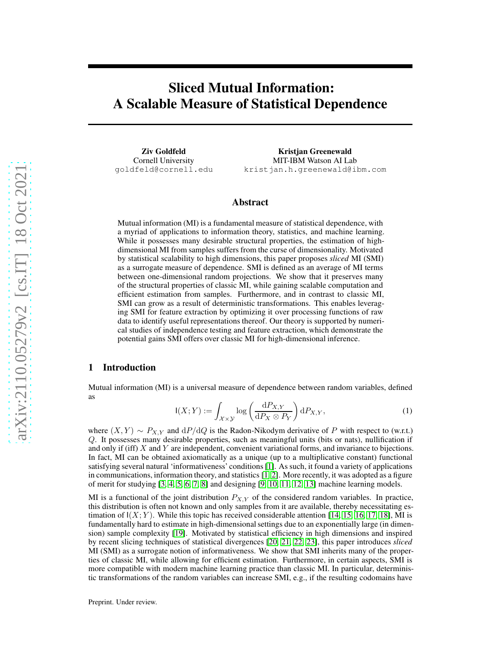# Sliced Mutual Information: A Scalable Measure of Statistical Dependence

Ziv Goldfeld Cornell University goldfeld@cornell.edu

Kristjan Greenewald MIT-IBM Watson AI Lab kristjan.h.greenewald@ibm.com

## Abstract

Mutual information (MI) is a fundamental measure of statistical dependence, with a myriad of applications to information theory, statistics, and machine learning. While it possesses many desirable structural properties, the estimation of highdimensional MI from samples suffers from the curse of dimensionality. Motivated by statistical scalability to high dimensions, this paper proposes *sliced* MI (SMI) as a surrogate measure of dependence. SMI is defined as an average of MI terms between one-dimensional random projections. We show that it preserves many of the structural properties of classic MI, while gaining scalable computation and efficient estimation from samples. Furthermore, and in contrast to classic MI, SMI can grow as a result of deterministic transformations. This enables leveraging SMI for feature extraction by optimizing it over processing functions of raw data to identify useful representations thereof. Our theory is supported by numerical studies of independence testing and feature extraction, which demonstrate the potential gains SMI offers over classic MI for high-dimensional inference.

## 1 Introduction

<span id="page-0-0"></span>Mutual information (MI) is a universal measure of dependence between random variables, defined as

$$
I(X;Y) := \int_{\mathcal{X} \times \mathcal{Y}} \log \left( \frac{dP_{X,Y}}{dP_X \otimes P_Y} \right) dP_{X,Y},\tag{1}
$$

where  $(X, Y) \sim P_{X, Y}$  and  $dP/dQ$  is the Radon-Nikodym derivative of P with respect to (w.r.t.) Q. It possesses many desirable properties, such as meaningful units (bits or nats), nullification if and only if (iff)  $X$  and  $Y$  are independent, convenient variational forms, and invariance to bijections. In fact, MI can be obtained axiomatically as a unique (up to a multiplicative constant) functional satisfying several natural 'informativeness' conditions[\[1\]](#page-10-0). As such, it found a variety of applications in communications, information theory, and statistics [\[1,](#page-10-0) [2\]](#page-10-1). More recently, it was adopted as a figure of merit for studying [\[3,](#page-10-2) [4,](#page-11-0) [5,](#page-11-1) [6,](#page-11-2) [7,](#page-11-3) [8\]](#page-11-4) and designing [\[9,](#page-11-5) [10,](#page-11-6) [11,](#page-11-7) [12,](#page-11-8) [13\]](#page-11-9) machine learning models.

MI is a functional of the joint distribution  $P_{X,Y}$  of the considered random variables. In practice, this distribution is often not known and only samples from it are available, thereby necessitating estimation of  $I(X; Y)$ . While this topic has received considerable attention [\[14,](#page-11-10) [15,](#page-11-11) [16,](#page-11-12) [17,](#page-11-13) [18\]](#page-11-14), MI is fundamentally hard to estimate in high-dimensional settings due to an exponentially large (in dimension) sample complexity [\[19\]](#page-11-15). Motivated by statistical efficiency in high dimensions and inspired by recent slicing techniques of statistical divergences [\[20,](#page-11-16) [21,](#page-11-17) [22,](#page-11-18) [23\]](#page-11-19), this paper introduces *sliced* MI (SMI) as a surrogate notion of informativeness. We show that SMI inherits many of the properties of classic MI, while allowing for efficient estimation. Furthermore, in certain aspects, SMI is more compatible with modern machine learning practice than classic MI. In particular, deterministic transformations of the random variables can increase SMI, e.g., if the resulting codomains have

Preprint. Under review.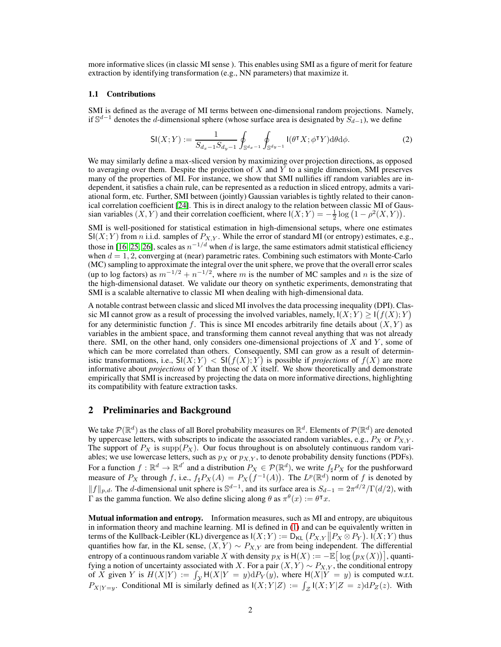more informative slices (in classic MI sense ). This enables using SMI as a figure of merit for feature extraction by identifying transformation (e.g., NN parameters) that maximize it.

#### 1.1 Contributions

SMI is defined as the average of MI terms between one-dimensional random projections. Namely, if  $\mathbb{S}^{d-1}$  denotes the d-dimensional sphere (whose surface area is designated by  $S_{d-1}$ ), we define

$$
\mathsf{SI}(X;Y) := \frac{1}{S_{d_x-1}S_{d_y-1}} \oint_{\mathbb{S}^{d_x-1}} \oint_{\mathbb{S}^{d_y-1}} \mathsf{I}(\theta^{\mathsf{T}} X; \phi^{\mathsf{T}} Y) \mathrm{d}\theta \mathrm{d}\phi. \tag{2}
$$

We may similarly define a max-sliced version by maximizing over projection directions, as opposed to averaging over them. Despite the projection of  $X$  and  $Y$  to a single dimension, SMI preserves many of the properties of MI. For instance, we show that SMI nullifies iff random variables are independent, it satisfies a chain rule, can be represented as a reduction in sliced entropy, admits a variational form, etc. Further, SMI between (jointly) Gaussian variables is tightly related to their canonical correlation coefficient [\[24\]](#page-12-0). This is in direct analogy to the relation between classic MI of Gaussian variables  $(X, Y)$  and their correlation coefficient, where  $I(X; Y) = -\frac{1}{2} \log (1 - \rho^2(X, Y)).$ 

SMI is well-positioned for statistical estimation in high-dimensional setups, where one estimates  $\mathsf{SI}(X;Y)$  from *n* i.i.d. samples of  $P_{X,Y}$ . While the error of standard MI (or entropy) estimates, e.g., those in [\[16,](#page-11-12) [25,](#page-12-1) [26\]](#page-12-2), scales as  $n^{-1/d}$  when d is large, the same estimators admit statistical efficiency when  $d = 1, 2$ , converging at (near) parametric rates. Combining such estimators with Monte-Carlo (MC) sampling to approximate the integral over the unit sphere, we prove that the overall error scales (up to log factors) as  $m^{-1/2} + n^{-1/2}$ , where m is the number of MC samples and n is the size of the high-dimensional dataset. We validate our theory on synthetic experiments, demonstrating that SMI is a scalable alternative to classic MI when dealing with high-dimensional data.

A notable contrast between classic and sliced MI involves the data processing inequality (DPI). Classic MI cannot grow as a result of processing the involved variables, namely,  $I(X;Y) \geq I(f(X);Y)$ for any deterministic function f. This is since MI encodes arbitrarily fine details about  $(X, Y)$  as variables in the ambient space, and transforming them cannot reveal anything that was not already there. SMI, on the other hand, only considers one-dimensional projections of  $X$  and  $Y$ , some of which can be more correlated than others. Consequently, SMI can grow as a result of deterministic transformations, i.e.,  $SI(X;Y) < SI(f(X);Y)$  is possible if *projections* of  $f(X)$  are more informative about *projections* of Y than those of X itself. We show theoretically and demonstrate empirically that SMI is increased by projecting the data on more informative directions, highlighting its compatibility with feature extraction tasks.

## 2 Preliminaries and Background

We take  $P(\mathbb{R}^d)$  as the class of all Borel probability measures on  $\mathbb{R}^d$ . Elements of  $P(\mathbb{R}^d)$  are denoted by uppercase letters, with subscripts to indicate the associated random variables, e.g.,  $P_X$  or  $P_{X,Y}$ . The support of  $P_X$  is supp $(P_X)$ . Our focus throughout is on absolutely continuous random variables; we use lowercase letters, such as  $p_X$  or  $p_{X,Y}$ , to denote probability density functions (PDFs). For a function  $f: \mathbb{R}^d \to \mathbb{R}^{d'}$  and a distribution  $P_X \in \mathcal{P}(\mathbb{R}^d)$ , we write  $f_\sharp P_X$  for the pushforward measure of  $P_X$  through f, i.e.,  $f_\sharp P_X(A) = P_X(f^{-1}(A))$ . The  $L^p(\mathbb{R}^d)$  norm of f is denoted by  $||f||_{p,d}$ . The d-dimensional unit sphere is  $\mathbb{S}^{d-1}$ , and its surface area is  $S_{d-1} = 2\pi^{d/2} / \Gamma(d/2)$ , with Γ as the gamma function. We also define slicing along θ as  $\pi^{\theta}(x) := \theta^{\intercal} x$ .

Mutual information and entropy. Information measures, such as MI and entropy, are ubiquitous in information theory and machine learning. MI is defined in [\(1\)](#page-0-0) and can be equivalently written in terms of the Kullback-Leibler (KL) divergence as  $I(X;Y) := D_{\text{KL}}(P_{X,Y} || P_X \otimes P_Y)$ .  $I(X;Y)$  thus quantifies how far, in the KL sense,  $(X, Y) \sim P_{X,Y}$  are from being independent. The differential entropy of a continuous random variable X with density  $p_X$  is  $H(X) := -\mathbb{E} \big[ \log (p_X(X)) \big]$ , quantifying a notion of uncertainty associated with X. For a pair  $(X, Y) \sim P_{X,Y}$ , the conditional entropy of X given Y is  $H(X|Y) := \int_Y H(X|Y = y) dP_Y(y)$ , where  $H(X|Y = y)$  is computed w.r.t.  $P_{X|Y=y}$ . Conditional MI is similarly defined as  $I(X;Y|Z) := \int_{\mathcal{Z}} I(X;Y|Z = z) dP_Z(z)$ . With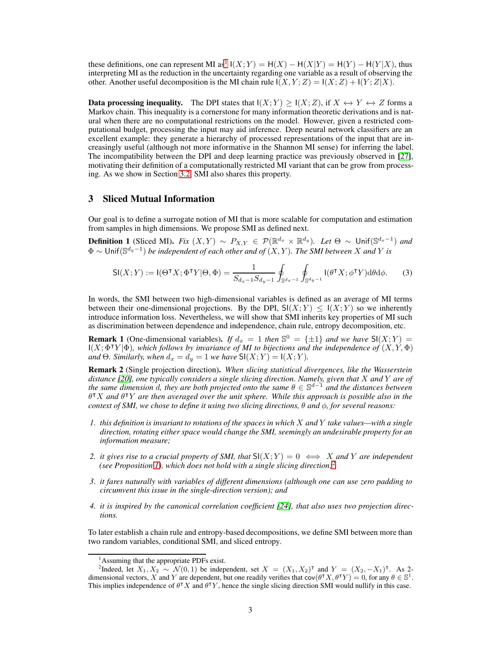these definitions, one can represent MI as<sup>[1](#page-2-0)</sup>  $I(X;Y) = H(X) - H(X|Y) = H(Y) - H(Y|X)$ , thus interpreting MI as the reduction in the uncertainty regarding one variable as a result of observing the other. Another useful decomposition is the MI chain rule  $I(X, Y; Z) = I(X; Z) + I(Y; Z|X)$ .

**Data processing inequality.** The DPI states that  $I(X;Y) \geq I(X;Z)$ , if  $X \leftrightarrow Y \leftrightarrow Z$  forms a Markov chain. This inequality is a cornerstone for many information theoretic derivations and is natural when there are no computational restrictions on the model. However, given a restricted computational budget, processing the input may aid inference. Deep neural network classifiers are an excellent example: they generate a hierarchy of processed representations of the input that are increasingly useful (although not more informative in the Shannon MI sense) for inferring the label. The incompatibility between the DPI and deep learning practice was previously observed in [\[27\]](#page-12-3), motivating their definition of a computationally restricted MI variant that can be grow from processing. As we show in Section [3.2,](#page-6-0) SMI also shares this property.

## 3 Sliced Mutual Information

Our goal is to define a surrogate notion of MI that is more scalable for computation and estimation from samples in high dimensions. We propose SMI as defined next.

<span id="page-2-2"></span>**Definition 1** (Sliced MI). *Fix*  $(X, Y) \sim P_{X,Y} \in \mathcal{P}(\mathbb{R}^{d_x} \times \mathbb{R}^{d_y})$ . Let  $\Theta \sim \text{Unif}(\mathbb{S}^{d_x-1})$  and  $\Phi$  ∼ Unif( $\mathbb{S}^{d_y-1}$ ) *be independent of each other and of*  $(X, Y)$ *. The SMI between* X *and* Y *is* 

$$
\mathsf{SI}(X;Y) := \mathsf{I}(\Theta^{\mathsf{T}} X; \Phi^{\mathsf{T}} Y | \Theta, \Phi) = \frac{1}{S_{d_x - 1} S_{d_y - 1}} \oint_{\mathbb{S}^{d_x - 1}} \oint_{\mathbb{S}^{d_y - 1}} \mathsf{I}(\theta^{\mathsf{T}} X; \phi^{\mathsf{T}} Y) \mathrm{d}\theta \mathrm{d}\phi. \tag{3}
$$

In words, the SMI between two high-dimensional variables is defined as an average of MI terms between their one-dimensional projections. By the DPI,  $\mathsf{S} I(X; Y) \leq I(X; Y)$  so we inherently introduce information loss. Nevertheless, we will show that SMI inherits key properties of MI such as discrimination between dependence and independence, chain rule, entropy decomposition, etc.

**Remark 1** (One-dimensional variables). *If*  $d_x = 1$  *then*  $\mathbb{S}^0 = {\pm 1}$  *and we have*  $\mathsf{SI}(X;Y) = \mathsf{I}(\mathbb{S}^0)$  $I(X; \Phi^{\dagger}Y | \Phi)$ *, which follows by invariance of MI to bijections and the independence of*  $(X, Y, \Phi)$ and  $\Theta$ *. Similarly, when*  $d_x = d_y = 1$  *we have*  $\mathsf{SI}(X;Y) = \mathsf{I}(X;Y)$ *.* 

Remark 2 (Single projection direction). *When slicing statistical divergences, like the Wasserstein distance [\[20\]](#page-11-16), one typically considers a single slicing direction. Namely, given that* X *and* Y *are of the same dimension* <sup>d</sup>*, they are both projected onto the same* <sup>θ</sup> <sup>∈</sup> <sup>S</sup> <sup>d</sup>−<sup>1</sup> *and the distances between* θ <sup>⊺</sup>X *and* θ <sup>⊺</sup>Y *are then averaged over the unit sphere. While this approach is possible also in the context of SMI, we chose to define it using two slicing directions,*  $\theta$  *and*  $\phi$ *, for several reasons:* 

- *1. this definition is invariant to rotations of the spaces in which* X *and* Y *take values—with a single direction, rotating either space would change the SMI, seemingly an undesirable property for an information measure;*
- *2. it gives rise to a crucial property of SMI, that*  $SI(X;Y) = 0 \iff X$  *and* Y *are independent (see Proposition [1\)](#page-3-0), which does not hold with a single slicing direction;*[2](#page-2-1)
- *3. it fares naturally with variables of different dimensions (although one can use zero padding to circumvent this issue in the single-direction version); and*
- *4. it is inspired by the canonical correlation coefficient [\[24\]](#page-12-0), that also uses two projection directions.*

To later establish a chain rule and entropy-based decompositions, we define SMI between more than two random variables, conditional SMI, and sliced entropy.

<span id="page-2-0"></span><sup>&</sup>lt;sup>1</sup>Assuming that the appropriate PDFs exist.

<span id="page-2-1"></span><sup>&</sup>lt;sup>2</sup>Indeed, let  $X_1, X_2 \sim \mathcal{N}(0, 1)$  be independent, set  $X = (X_1, X_2)^\intercal$  and  $Y = (X_2, -X_1)^\intercal$ . As 2dimensional vectors, X and Y are dependent, but one readily verifies that  $cov(\theta^T X, \theta^T Y) = 0$ , for any  $\theta \in \mathbb{S}^1$ . This implies independence of  $\theta^{\dagger} X$  and  $\theta^{\dagger} Y$ , hence the single slicing direction SMI would nullify in this case.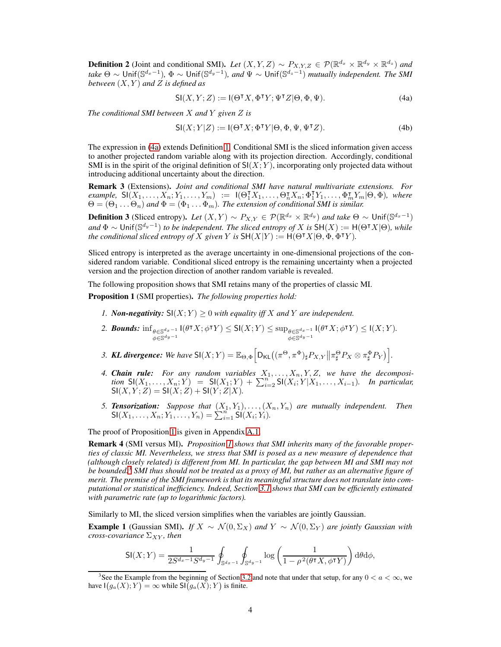<span id="page-3-8"></span>**Definition 2** (Joint and conditional SMI). Let  $(X, Y, Z) \sim P_{X, Y, Z} \in \mathcal{P}(\mathbb{R}^{d_x} \times \mathbb{R}^{d_y} \times \mathbb{R}^{d_z})$  and *take*  $\Theta \sim \text{Unif}(\mathbb{S}^{d_x-1})$ ,  $\Phi \sim \text{Unif}(\mathbb{S}^{d_y-1})$ , and  $\Psi \sim \text{Unif}(\mathbb{S}^{d_z-1})$  *mutually independent. The SMI between*  $(X, Y)$  *and*  $\overline{Z}$  *is defined as* 

<span id="page-3-1"></span>
$$
\mathsf{SI}(X,Y;Z) := \mathsf{I}(\Theta^\intercal X, \Phi^\intercal Y; \Psi^\intercal Z | \Theta, \Phi, \Psi). \tag{4a}
$$

*The conditional SMI between* X *and* Y *given* Z *is*

$$
\mathsf{SI}(X;Y|Z) := \mathsf{I}(\Theta^{\mathsf{T}} X; \Phi^{\mathsf{T}} Y | \Theta, \Phi, \Psi, \Psi^{\mathsf{T}} Z). \tag{4b}
$$

The expression in [\(4a\)](#page-3-1) extends Definition [1.](#page-2-2) Conditional SMI is the sliced information given access to another projected random variable along with its projection direction. Accordingly, conditional SMI is in the spirit of the original definition of  $S(X; Y)$ , incorporating only projected data without introducing additional uncertainty about the direction.

Remark 3 (Extensions). *Joint and conditional SMI have natural multivariate extensions. For*  $\text{example, } \mathsf{SI}(X_1,\ldots,X_n;Y_1,\ldots,Y_m) := \mathsf{I}(\Theta_1^{\mathsf{T}}X_1,\ldots,\Theta_n^{\mathsf{T}}X_n;\Phi_1^{\mathsf{T}}Y_1,\ldots,\Phi_m^{\mathsf{T}}Y_m|\Theta,\Phi)$ , where  $\Theta = (\Theta_1 \dots \Theta_n)$  and  $\Phi = (\Phi_1 \dots \Phi_m)$ . The extension of conditional SMI is similar.

**Definition 3** (Sliced entropy). Let  $(X, Y) \sim P_{X,Y} \in \mathcal{P}(\mathbb{R}^{d_x} \times \mathbb{R}^{d_y})$  and take  $\Theta \sim \text{Unif}(\mathbb{S}^{d_x-1})$  $\mathcal{A}$  and  $\Phi \sim \text{Unif}(\mathbb{S}^{d_y-1})$  *to be independent. The sliced entropy of* X *is*  $\text{SH}(X) := \text{H}(\Theta^\intercal X | \Theta)$ *, while the conditional sliced entropy of* X *given* Y *is*  $SH(X|Y) := H(\Theta^{\intercal} X | \Theta, \Phi, \Phi^{\intercal} Y)$ *.* 

Sliced entropy is interpreted as the average uncertainty in one-dimensional projections of the considered random variable. Conditional sliced entropy is the remaining uncertainty when a projected version and the projection direction of another random variable is revealed.

The following proposition shows that SMI retains many of the properties of classic MI.

<span id="page-3-3"></span><span id="page-3-0"></span>Proposition 1 (SMI properties). *The following properties hold:*

- <span id="page-3-4"></span>*1. Non-negativity:*  $\mathsf{SI}(X;Y) \geq 0$  *with equality iff* X *and* Y *are independent.*
- 2. *Bounds:*  $\inf_{\theta \in \mathbb{S}^{d_x-1}}$  $\theta \in \mathbb{S}^{d_x-1} \mathsf{I}(\theta^{\intercal} X; \phi^{\intercal} Y) \leq \mathsf{SI}(X;Y) \leq \sup_{\phi \in \mathbb{S}^{d_y-1}} \phi \in \mathbb{S}^{d_y-1}$  $\theta \in \mathbb{S}^{d_x - 1}$   $\left(\theta^{\intercal} X; \phi^{\intercal} Y\right) \leq \mathsf{I}(X; Y)$ .<br>  $\phi \in \mathbb{S}^{d_y - 1}$
- <span id="page-3-5"></span>3. **KL divergence:** We have  $\mathsf{SI}(X;Y) = \mathbb{E}_{\Theta,\Phi} \Big[ \mathsf{D}_{\mathsf{KL}} \big( (\pi^{\Theta}, \pi^{\Phi})_{\sharp} P_{X,Y} \big\| \pi^{\Theta}_{\sharp} P_X \otimes \pi^{\Phi}_{\sharp} P_Y \big) \Big].$
- <span id="page-3-6"></span>4. *Chain rule: For any random variables*  $X_1, \ldots, X_n, Y, Z$ , we have the decomposi*tion*  $SI(X_1, \ldots, X_n; Y) = SI(X_1; Y) + \sum_{i=2}^{n} SI(X_i; Y | X_1, \ldots, X_{i-1})$ *. In particular,*  $SI(X, Y; Z) = SI(X; Z) + SI(Y; Z|X)$ .
- <span id="page-3-7"></span>*5. Tensorization: Suppose that* (X1, Y1), . . . ,(Xn, Yn) *are mutually independent. Then*  $SI(X_1, \ldots, X_n; Y_1, \ldots, Y_n) = \sum_{i=1}^{n} SI(X_i; Y_i).$

The proof of Proposition [1](#page-3-0) is given in Appendix [A.1.](#page-12-4)

Remark 4 (SMI versus MI). *Proposition [1](#page-3-0) shows that SMI inherits many of the favorable properties of classic MI. Nevertheless, we stress that SMI is posed as a new measure of dependence that (although closely related) is different from MI. In particular, the gap between MI and SMI may not be bounded.*[3](#page-3-2) *SMI thus should not be treated as a proxy of MI, but rather as an alternative figure of merit. The premise of the SMI framework is that its meaningful structure does not translate into computational or statistical inefficiency. Indeed, Section [3.1](#page-4-0) shows that SMI can be efficiently estimated with parametric rate (up to logarithmic factors).*

Similarly to MI, the sliced version simplifies when the variables are jointly Gaussian.

**Example 1** (Gaussian SMI). *If*  $X \sim \mathcal{N}(0, \Sigma_X)$  *and*  $Y \sim \mathcal{N}(0, \Sigma_Y)$  *are jointly Gaussian with cross-covariance*  $\Sigma_{XY}$ *, then* 

$$
\mathsf{SI}(X;Y) = \frac{1}{2S^{d_x - 1}S^{d_y - 1}} \oint_{\mathbb{S}^{d_x - 1}} \oint_{\mathbb{S}^{d_y - 1}} \log \left( \frac{1}{1 - \rho^2(\theta^{\intercal} X, \phi^{\intercal} Y)} \right) d\theta d\phi,
$$

<span id="page-3-2"></span><sup>&</sup>lt;sup>3</sup>See the Example from the beginning of Section [3.2](#page-6-0) and note that under that setup, for any  $0 < a < \infty$ , we have  $I(g_a(X); Y) = \infty$  while  $\mathsf{SI}(g_a(X); Y)$  is finite.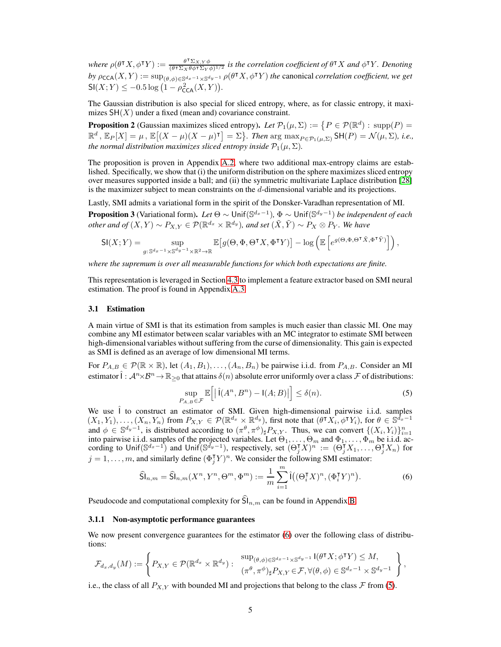where  $\rho(\theta^{\intercal} X, \phi^{\intercal} Y) := \frac{\theta^{\intercal} \Sigma_{X,Y} \phi}{(\theta^{\intercal} \Sigma_{Y}, \theta \phi^{\intercal} \Sigma_{Y}, \phi^{\intercal} \psi)}$  $\frac{\theta^1 \sum_{X,Y} \phi}{(\theta^T \sum_X \theta \phi^T \sum_Y \phi)^{1/2}}$  *is the correlation coefficient of*  $\theta^T X$  *and*  $\phi^T Y$ *. Denoting by*  $\rho_{\mathsf{CCA}}(X, Y) := \sup_{(\theta, \phi) \in \mathbb{S}^{d_x-1} \times \mathbb{S}^{d_y-1}} \rho(\theta^{\mathsf{T}} X, \phi^{\mathsf{T}} Y)$  *the canonical correlation coefficient, we get*  $\mathsf{SI}(X;Y) \leq -0.5 \log (1 - \rho_{\mathsf{CCA}}^2(X,Y)).$ 

The Gaussian distribution is also special for sliced entropy, where, as for classic entropy, it maximizes  $SH(X)$  under a fixed (mean and) covariance constraint.

<span id="page-4-4"></span>**Proposition 2** (Gaussian maximizes sliced entropy). Let  $\mathcal{P}_1(\mu, \Sigma) := \{ P \in \mathcal{P}(\mathbb{R}^d) : \text{supp}(P) =$  $\mathbb{R}^d$ ,  $\mathbb{E}_P[X] = \mu$ ,  $\mathbb{E}[(X - \mu)(X - \mu)^{\intercal}] = \Sigma$ . Then  $\arg \max_{P \in \mathcal{P}_1(\mu, \Sigma)} \mathsf{SH}(P) = \mathcal{N}(\mu, \Sigma)$ , i.e., *the normal distribution maximizes sliced entropy inside*  $\mathcal{P}_1(\mu, \Sigma)$ *.* 

The proposition is proven in Appendix [A.2,](#page-13-0) where two additional max-entropy claims are established. Specifically, we show that (i) the uniform distribution on the sphere maximizes sliced entropy over measures supported inside a ball; and (ii) the symmetric multivariate Laplace distribution [\[28\]](#page-12-5) is the maximizer subject to mean constraints on the  $d$ -dimensional variable and its projections.

Lastly, SMI admits a variational form in the spirit of the Donsker-Varadhan representation of MI.

<span id="page-4-3"></span>**Proposition 3** (Variational form). Let  $\Theta \sim$  Unif $(\mathbb{S}^{d_x-1})$ ,  $\Phi \sim$  Unif $(\mathbb{S}^{d_y-1})$  be independent of each *other and of*  $(X, Y) \sim P_{X,Y} \in \mathcal{P}(\mathbb{R}^{d_x} \times \mathbb{R}^{d_y})$ , and set  $(\tilde{X}, \tilde{Y}) \sim P_X \otimes P_Y$ . We have

$$
\mathsf{SI}(X;Y) = \sup_{g: \, \mathbb{S}^{d_x-1} \times \mathbb{S}^{d_y-1} \times \mathbb{R}^2 \to \mathbb{R}} \mathbb{E}\big[ g(\Theta,\Phi,\Theta^\intercal X,\Phi^\intercal Y) \big] - \log \left( \mathbb{E}\left[ e^{g(\Theta,\Phi,\Theta^\intercal \tilde X,\Phi^\intercal \tilde Y)} \right] \right),
$$

*where the supremum is over all measurable functions for which both expectations are finite.*

This representation is leveraged in Section [4.3](#page-8-0) to implement a feature extractor based on SMI neural estimation. The proof is found in Appendix [A.3.](#page-16-0)

#### <span id="page-4-0"></span>3.1 Estimation

A main virtue of SMI is that its estimation from samples is much easier than classic MI. One may combine any MI estimator between scalar variables with an MC integrator to estimate SMI between high-dimensional variables without suffering from the curse of dimensionality. This gain is expected as SMI is defined as an average of low dimensional MI terms.

<span id="page-4-2"></span>For  $P_{A,B} \in \mathcal{P}(\mathbb{R} \times \mathbb{R})$ , let  $(A_1, B_1), \ldots, (A_n, B_n)$  be pairwise i.i.d. from  $P_{A,B}$ . Consider an MI estimator  $\hat{\mathbf{I}}: \mathcal{A}^n \times \mathcal{B}^n \to \mathbb{R}_{\geq 0}$  that attains  $\delta(n)$  absolute error uniformly over a class  $\mathcal F$  of distributions:

<span id="page-4-1"></span>
$$
\sup_{P_{A,B}\in\mathcal{F}}\mathbb{E}\left[\left|\hat{\mathsf{I}}(A^{n},B^{n})-\mathsf{I}(A;B)\right|\right]\leq\delta(n). \tag{5}
$$

We use  $\hat{I}$  to construct an estimator of SMI. Given high-dimensional pairwise i.i.d. samples  $(X_1, Y_1), \ldots, (X_n, Y_n)$  from  $P_{X,Y} \in \mathcal{P}(\mathbb{R}^{d_x} \times \mathbb{R}^{d_y})$ , first note that  $(\theta^{\intercal} X_i, \phi^{\intercal} Y_i)$ , for  $\theta \in \mathbb{S}^{d_x-1}$ and  $\phi \in \mathbb{S}^{d_y-1}$ , is distributed according to  $(\pi^{\theta}, \pi^{\phi})_{\sharp} P_{X,Y}$ . Thus, we can convert  $\{(X_i, Y_i)\}_{i=1}^n$  into pairwise i.i.d. samples of the projected variables. Let  $\Theta_1, \dots, \Theta_m$  and  $\Phi_1, \dots, \Phi_m$  be i.i.d. ac cording to Unif $(\mathbb{S}^{d_x-1})$  and Unif $(\mathbb{S}^{d_y-1})$ , respectively, set  $(\Theta_j^{\intercal}X)^n := (\Theta_j^{\intercal}X_1, \ldots, \Theta_j^{\intercal}X_n)$  for  $j = 1, \ldots, m$ , and similarly define  $(\Phi_j^{\mathsf{T}} Y)^n$ . We consider the following SMI estimator:

$$
\widehat{\mathsf{Sl}}_{n,m} = \widehat{\mathsf{Sl}}_{n,m}(X^n, Y^n, \Theta^m, \Phi^m) := \frac{1}{m} \sum_{i=1}^m \widehat{\mathsf{I}}((\Theta_i^{\mathsf{T}} X)^n, (\Phi_i^{\mathsf{T}} Y)^n).
$$
 (6)

Pseudocode and computational complexity for  $\widehat{\mathsf{Sl}}_{n,m}$  can be found in Appendix [B.](#page-20-0)

#### 3.1.1 Non-asymptotic performance guarantees

We now present convergence guarantees for the estimator [\(6\)](#page-4-1) over the following class of distributions:

$$
\mathcal{F}_{d_x,d_y}(M) := \left\{ P_{X,Y} \in \mathcal{P}(\mathbb{R}^{d_x} \times \mathbb{R}^{d_y}) : \begin{array}{l} \sup_{(\theta,\phi) \in \mathbb{S}^{d_x-1} \times \mathbb{S}^{d_y-1}} \mathsf{I}(\theta^{\mathsf{T}} X; \phi^{\mathsf{T}} Y) \leq M, \\ (\pi^{\theta}, \pi^{\phi})_{\sharp} P_{X,Y} \in \mathcal{F}, \forall (\theta,\phi) \in \mathbb{S}^{d_x-1} \times \mathbb{S}^{d_y-1} \end{array} \right\},
$$

i.e., the class of all  $P_{X,Y}$  with bounded MI and projections that belong to the class  $\mathcal F$  from [\(5\)](#page-4-2).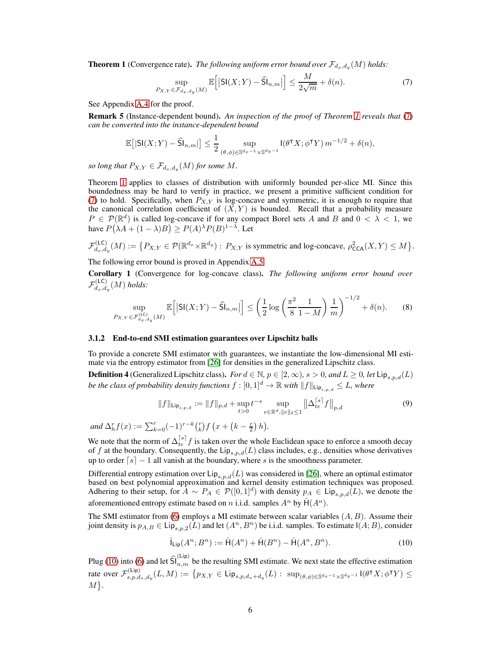<span id="page-5-0"></span>**Theorem 1** (Convergence rate). *The following uniform error bound over*  $\mathcal{F}_{d_x,d_y}(M)$  *holds:* 

<span id="page-5-1"></span>
$$
\sup_{P_{X,Y}\in\mathcal{F}_{d_x,d_y}(M)}\mathbb{E}\Big[\big|\mathsf{SI}(X;Y)-\widehat{\mathsf{SI}}_{n,m}\big|\Big]\leq \frac{M}{2\sqrt{m}}+\delta(n). \tag{7}
$$

See Appendix [A.4](#page-17-0) for the proof.

Remark 5 (Instance-dependent bound). *An inspection of the proof of Theorem [1](#page-5-0) reveals that* [\(7\)](#page-5-1) *can be converted into the instance-dependent bound*

$$
\mathbb{E}\big[\vert \mathsf{SI}(X;Y) - \widehat{\mathsf{SI}}_{n,m}\vert\big] \leq \frac{1}{2} \sup_{(\theta,\phi)\in\mathbb{S}^{d_x-1}\times\mathbb{S}^{d_y-1}} \mathsf{I}(\theta^{\mathsf{T}} X;\phi^{\mathsf{T}} Y)\,m^{-1/2} + \delta(n),
$$

*so long that*  $P_{X,Y} \in \mathcal{F}_{d_x,d_y}(M)$  *for some*  $M$ *.* 

Theorem [1](#page-5-0) applies to classes of distribution with uniformly bounded per-slice MI. Since this boundedness may be hard to verify in practice, we present a primitive sufficient condition for [\(7\)](#page-5-1) to hold. Specifically, when  $P_{X,Y}$  is log-concave and symmetric, it is enough to require that the canonical correlation coefficient of  $(X, Y)$  is bounded. Recall that a probability measure  $P \in \mathcal{P}(\mathbb{R}^d)$  is called log-concave if for any compact Borel sets A and B and  $0 < \lambda < 1$ , we have  $P(\lambda A + (1 - \lambda)B) \ge P(A)^{\lambda} P(B)^{1 - \lambda}$ . Let

$$
\mathcal{F}_{d_x,d_y}^{(\mathsf{LC})}(M) := \big\{ P_{X,Y} \in \mathcal{P}(\mathbb{R}^{d_x} \times \mathbb{R}^{d_y}) : \ P_{X,Y} \text{ is symmetric and log-concave, } \rho_{\mathsf{CCA}}^2(X,Y) \le M \big\}.
$$

The following error bound is proved in Appendix [A.5.](#page-17-1)

<span id="page-5-3"></span>Corollary 1 (Convergence for log-concave class). *The following uniform error bound over*  $\mathcal{F}_{d_x,d}^{(\mathsf{LC})}$  $d_{x,dy}^{(LC)}(M)$  *holds:* 

$$
\sup_{P_{X,Y}\in\mathcal{F}_{d_x,d_y}^{(\text{LC})}(M)} \mathbb{E}\Big[|\mathsf{SI}(X;Y)-\widehat{\mathsf{Sl}}_{n,m}|\Big] \le \left(\frac{1}{2}\log\left(\frac{\pi^2}{8}\frac{1}{1-M}\right)\frac{1}{m}\right)^{-1/2} + \delta(n). \tag{8}
$$

## 3.1.2 End-to-end SMI estimation guarantees over Lipschitz balls

To provide a concrete SMI estimator with guarantees, we instantiate the low-dimensional MI estimate via the entropy estimator from [\[26\]](#page-12-2) for densities in the generalized Lipschitz class.

<span id="page-5-4"></span>**Definition 4** (Generalized Lipschitz class). *For*  $d \in \mathbb{N}$ ,  $p \in [2, \infty)$ ,  $s > 0$ , and  $L \ge 0$ , let  $\text{Lip}_{s,p,d}(L)$ *be the class of probability density functions*  $f : [0,1]^d \to \mathbb{R}$  *with*  $||f||_{\text{Lip}_{s,pd}} \leq L$ *, where* 

$$
||f||_{\mathrm{Lip}_{s,p,d}} := ||f||_{p,d} + \sup_{t>0} t^{-s} \sup_{e \in \mathbb{R}^d, ||e||_2 \le 1} ||\Delta_{te}^{\lceil s \rceil} f||_{p,d}
$$
(9)

*and*  $\Delta_h^r f(x) := \sum_{k=0}^r (-1)^{r-k} {r \choose k} f\left(x + \left(k - \frac{r}{2}\right)h\right)$ .

We note that the norm of  $\Delta_{te}^{[s]}f$  is taken over the whole Euclidean space to enforce a smooth decay of f at the boundary. Consequently, the  $\text{Lip}_{s,p,d}(L)$  class includes, e.g., densities whose derivatives up to order  $[s] - 1$  all vanish at the boundary, where s is the smoothness parameter.

Differential entropy estimation over  $\text{Lip}_{s,p,d}(L)$  was considered in [\[26\]](#page-12-2), where an optimal estimator based on best polynomial approximation and kernel density estimation techniques was proposed. Adhering to their setup, for  $A \sim P_A \in \mathcal{P}([0,1]^d)$  with density  $p_A \in \text{Lip}_{s,p,d}(L)$ , we denote the aforementioned entropy estimate based on n i.i.d. samples  $A^n$  by  $\hat{H}(A^n)$ .

The SMI estimator from [\(6\)](#page-4-1) employs a MI estimate between scalar variables  $(A, B)$ . Assume their joint density is  $p_{A,B} \in \text{Lip}_{s,p,2}(L)$  and let  $(A^n, B^n)$  be i.i.d. samples. To estimate  $I(A;B)$ , consider

<span id="page-5-2"></span>
$$
\hat{\mathsf{I}}_{\mathsf{Lip}}(A^n; B^n) := \hat{\mathsf{H}}(A^n) + \hat{\mathsf{H}}(B^n) - \hat{\mathsf{H}}(A^n, B^n). \tag{10}
$$

Plug [\(10\)](#page-5-2) into [\(6\)](#page-4-1) and let  $\widehat{S}\big|_{n,m}^{(Lip)}$  be the resulting SMI estimate. We next state the effective estimation rate over  $\mathcal{F}_{s,p,d}^{(\mathsf{Lip})}$  $\mathcal{L}^{(\mathsf{Lip})}_{s,p,d_x,d_y}(L,M) := \big\{ p_{X,Y} \in \mathsf{Lip}_{s,p,d_x+d_y}(L) : \ \sup_{(\theta,\phi) \in \mathbb{S}^{d_x-1} \times \mathbb{S}^{d_y-1}} \mathsf{I}(\theta^\intercal X; \phi^\intercal Y) \leq \big\}$  $M$ .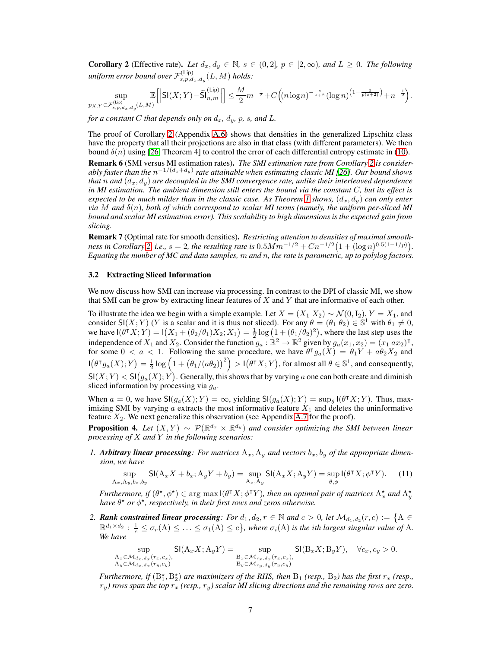<span id="page-6-1"></span>**Corollary 2** (Effective rate). Let  $d_x, d_y \in \mathbb{N}$ ,  $s \in (0, 2]$ ,  $p \in [2, \infty)$ , and  $L \geq 0$ . The following uniform error bound over  $\mathcal{F}_{s,p,d}^{(\mathsf{Lip})}$  $\sum_{s,p,d_x,d_y}^{(Lip)}(L,M)$  holds:

$$
\sup_{p_{X,Y}\in \mathcal{F}^{(\text{Lip})}_{s,p,d_x,d_y}(L,M)} \mathbb{E}\Big[ \Big| \text{SI}(X;Y) - \widehat{\text{SI}}^{(\text{Lip})}_{n,m} \Big| \Big] \leq \frac{M}{2} m^{-\frac{1}{2}} + C \Big( (n\log n)^{-\frac{s}{s+2}} (\log n)^{\left(1-\frac{2}{p(s+2)}\right)} + n^{-\frac{1}{2}} \Big).
$$

*for a constant* C *that depends only on*  $d_x$ *,*  $d_y$ *, p, s, and L.* 

The proof of Corollary [2](#page-6-1) (Appendix [A.6\)](#page-18-0) shows that densities in the generalized Lipschitz class have the property that all their projections are also in that class (with different parameters). We then bound  $\delta(n)$  using [\[26,](#page-12-2) Theorem 4] to control the error of each differential entropy estimate in [\(10\)](#page-5-2).

Remark 6 (SMI versus MI estimation rates). *The SMI estimation rate from Corollary [2](#page-6-1) is considerably faster than the* n −1/(dx+dy) *rate attainable when estimating classic MI [\[26\]](#page-12-2). Our bound shows that*  $n$  *and*  $(d_x, d_y)$  *are decoupled in the SMI convergence rate, unlike their interleaved dependence in MI estimation. The ambient dimension still enters the bound via the constant* C*, but its effect is expected to be much milder than in the classic case. As Theorem [1](#page-5-0) shows,*  $(d_x, d_y)$  *can only enter via* M *and* δ(n)*, both of which correspond to scalar MI terms (namely, the uniform per-sliced MI bound and scalar MI estimation error). This scalability to high dimensions is the expected gain from slicing.*

Remark 7 (Optimal rate for smooth densities). *Restricting attention to densities of maximal smoothness in Corollary* [2,](#page-6-1) *i.e.,*  $s = 2$ , the resulting rate is  $0.5 M m^{-1/2} + C n^{-1/2} (1 + (\log n)^{0.5(1-1/p)})$ . *Equating the number of MC and data samples,* m *and* n*, the rate is parametric, up to polylog factors.*

## <span id="page-6-0"></span>3.2 Extracting Sliced Information

We now discuss how SMI can increase via processing. In contrast to the DPI of classic MI, we show that SMI can be grow by extracting linear features of  $X$  and  $Y$  that are informative of each other.

To illustrate the idea we begin with a simple example. Let  $X = (X_1 X_2) \sim \mathcal{N}(0, I_2), Y = X_1$ , and consider SI(X; Y) (Y is a scalar and it is thus not sliced). For any  $\theta = (\theta_1 \theta_2) \in \mathbb{S}^1$  with  $\theta_1 \neq 0$ , we have  $I(\theta^{\intercal} X; Y) = I(X_1 + (\theta_2/\theta_1)X_2; X_1) = \frac{1}{2} \log (1 + (\theta_1/\theta_2)^2)$ , where the last step uses the independence of  $X_1$  and  $X_2$ . Consider the function  $g_a : \mathbb{R}^2 \to \mathbb{R}^2$  given by  $g_a(x_1, x_2) = (x_1, x_2)^\intercal$ , for some  $0 < a < 1$ . Following the same procedure, we have  $\theta^{\dagger} g_a(X) = \theta_1 Y + a \theta_2 X_2$  and  $\Pi(\theta^\intercal g_a(X); Y) = \frac{1}{2} \log \left(1 + \left(\theta_1/(a\theta_2)\right)^2\right) > \Pi(\theta^\intercal X; Y)$ , for almost all  $\theta \in \mathbb{S}^1$ , and consequently,  $SI(X;Y) < SI(g_a(X);Y)$ . Generally, this shows that by varying a one can both create and diminish sliced information by processing via  $g_a$ .

When  $a = 0$ , we have  $\mathsf{SI}(g_a(X); Y) = \infty$ , yielding  $\mathsf{SI}(g_a(X); Y) = \sup_{\theta} \mathsf{I}(\theta^{\intercal} X; Y)$ . Thus, maximizing SMI by varying  $\alpha$  extracts the most informative feature  $X_1$  and deletes the uninformative feature  $X_2$ . We next generalize this observation (see Appendix [A.7](#page-19-0) for the proof).

<span id="page-6-3"></span>**Proposition 4.** Let  $(X, Y) \sim \mathcal{P}(\mathbb{R}^{d_x} \times \mathbb{R}^{d_y})$  and consider optimizing the SMI between linear *processing of* X *and* Y *in the following scenarios:*

1. *Arbitrary linear processing: For matrices*  $A_x$ ,  $A_y$  *and vectors*  $b_x$ ,  $b_y$  *of the appropriate dimension, we have*

<span id="page-6-2"></span>
$$
\sup_{A_x, A_y, b_x, b_y} \mathsf{SI}(A_x X + b_x; A_y Y + b_y) = \sup_{A_x, A_y} \mathsf{SI}(A_x X; A_y Y) = \sup_{\theta, \phi} \mathsf{I}(\theta^\mathsf{T} X; \phi^\mathsf{T} Y). \tag{11}
$$

*Furthermore, if*  $(\theta^*, \phi^*) \in \arg \max_{\theta} I(\theta^{\intercal} X; \phi^{\intercal} Y)$ *, then an optimal pair of matrices*  $A_x^*$  *and*  $A_y^*$ *have*  $\theta^*$  *or*  $\phi^*$ *, respectively, in their first rows and zeros otherwise.* 

2. **Rank constrained linear processing**: For  $d_1, d_2, r \in \mathbb{N}$  and  $c > 0$ , let  $\mathcal{M}_{d_1, d_2}(r, c) := \{A \in \mathcal{M}_{d_1, d_2}(r, c) \}$  $\mathbb{R}^{d_1 \times d_2}: \frac{1}{c} \leq \sigma_r(A) \leq \ldots \leq \sigma_1(A) \leq c\}$ , where  $\sigma_i(A)$  is the *i*th largest singular value of A. *We have*

$$
\sup_{\substack{\mathbf{A}_x \in \mathcal{M}_{d_x, d_x}(r_x, c_x), \\ \mathbf{A}_y \in \mathcal{M}_{d_x, d_x}(r_y, c_y)}} \mathsf{SI}(\mathbf{A}_x X; \mathbf{A}_y Y) = \sup_{\substack{\mathbf{B}_x \in \mathcal{M}_{r_x, d_x}(r_x, c_x), \\ \mathbf{B}_y \in \mathcal{M}_{r_y, d_y}(r_y, c_y)}} \mathsf{SI}(\mathbf{B}_x X; \mathbf{B}_y Y), \quad \forall c_x, c_y > 0.
$$

*Furthermore, if*  $(B_1^*, B_2^*)$  *are maximizers of the RHS, then*  $B_1$  *(resp.,*  $B_2$ *) has the first*  $r_x$  *(resp.,*  $r_y$ ) rows span the top  $r_x$  (resp.,  $r_y$ ) scalar MI slicing directions and the remaining rows are zero.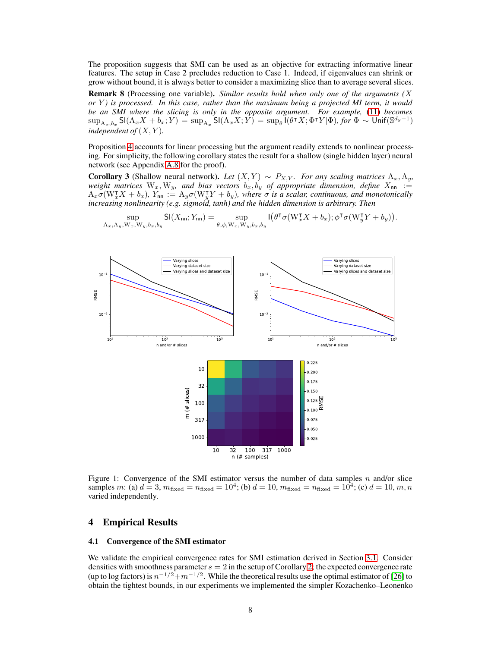The proposition suggests that SMI can be used as an objective for extracting informative linear features. The setup in Case 2 precludes reduction to Case 1. Indeed, if eigenvalues can shrink or grow without bound, it is always better to consider a maximizing slice than to average several slices.

Remark 8 (Processing one variable). *Similar results hold when only one of the arguments (*X *or* Y *) is processed. In this case, rather than the maximum being a projected MI term, it would be an SMI where the slicing is only in the opposite argument. For example,* [\(11\)](#page-6-2) *becomes*  $\sup_{A_x, b_x} \mathsf{SI}(A_x X + b_x; Y) = \sup_{A_x} \mathsf{SI}(A_x X; Y) = \sup_{\theta} \mathsf{I}(\theta^{\intercal} X; \Phi^{\intercal} Y | \Phi)$ , for  $\Phi \sim \mathsf{Unif}(\mathbb{S}^{d_y - 1})$ *independent of*  $(X, Y)$ *.* 

Proposition [4](#page-6-3) accounts for linear processing but the argument readily extends to nonlinear processing. For simplicity, the following corollary states the result for a shallow (single hidden layer) neural network (see Appendix [A.8](#page-20-1) for the proof).

<span id="page-7-1"></span>**Corollary 3** (Shallow neural network). Let  $(X, Y) \sim P_{X,Y}$ . For any scaling matrices  $A_x, A_y$ , *weight matrices*  $W_x$ ,  $W_y$ , and bias vectors  $b_x$ ,  $b_y$  of appropriate dimension, define  $X_{nn}$  :=  $A_x\sigma(W_x^{\intercal}X+b_x)$ ,  $Y_{\sf nn}:=A_y\sigma(W_y^{\intercal}Y+b_y)$ , where  $\sigma$  is a scalar, continuous, and monotonically *increasing nonlinearity (e.g. sigmoid, tanh) and the hidden dimension is arbitrary. Then*

<span id="page-7-0"></span>

$$
\sup_{\mathbf{A}_x,\mathbf{A}_y,\mathbf{W}_x,\mathbf{W}_y,b_x,b_y} \mathrm{SI}(X_{\mathrm{nn}};Y_{\mathrm{nn}}) = \sup_{\theta,\phi,\mathbf{W}_x,\mathbf{W}_y,b_x,b_y} \mathrm{I}\big(\theta^{\intercal}\sigma(\mathbf{W}_x^{\intercal}X+b_x); \phi^{\intercal}\sigma(\mathbf{W}_y^{\intercal}Y+b_y)\big).
$$

Figure 1: Convergence of the SMI estimator versus the number of data samples n and/or slice samples m: (a)  $d = 3$ ,  $m_{\text{fixed}} = n_{\text{fixed}} = 10^4$ ; (b)  $d = 10$ ,  $m_{\text{fixed}} = n_{\text{fixed}} = 10^4$ ; (c)  $d = 10$ ,  $m, n$ varied independently.

## 4 Empirical Results

## 4.1 Convergence of the SMI estimator

We validate the empirical convergence rates for SMI estimation derived in Section [3.1.](#page-4-0) Consider densities with smoothness parameter  $s = 2$  in the setup of Corollary [2;](#page-6-1) the expected convergence rate (up to log factors) is  $n^{-1/2}+m^{-1/2}$ . While the theoretical results use the optimal estimator of [\[26\]](#page-12-2) to obtain the tightest bounds, in our experiments we implemented the simpler Kozachenko–Leonenko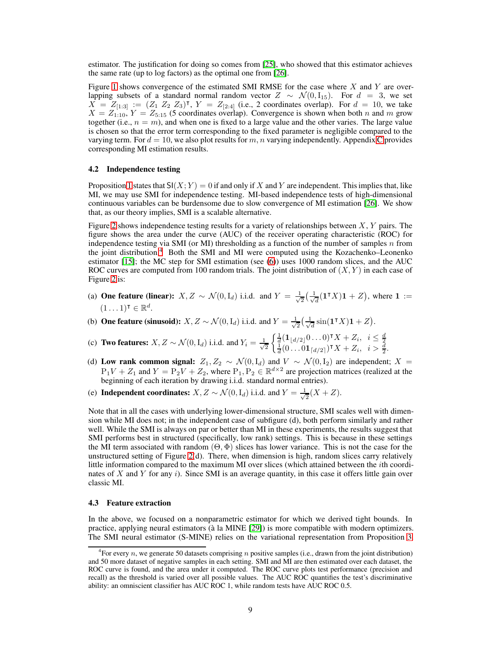estimator. The justification for doing so comes from [\[25\]](#page-12-1), who showed that this estimator achieves the same rate (up to log factors) as the optimal one from [\[26\]](#page-12-2).

Figure [1](#page-7-0) shows convergence of the estimated SMI RMSE for the case where  $X$  and  $Y$  are overlapping subsets of a standard normal random vector  $Z \sim \mathcal{N}(0, I_{15})$ . For  $d = 3$ , we set  $X = Z_{[1:3]} := (Z_1 \ Z_2 \ Z_3)^{\intercal}$ ,  $Y = Z_{[2:4]}$  (i.e., 2 coordinates overlap). For  $d = 10$ , we take  $X = Z_{1:10}$ ,  $Y = Z_{5:15}$  (5 coordinates overlap). Convergence is shown when both n and m grow together (i.e.,  $n = m$ ), and when one is fixed to a large value and the other varies. The large value is chosen so that the error term corresponding to the fixed parameter is negligible compared to the varying term. For  $d = 10$ , we also plot results for m, n varying independently. Appendix [C](#page-21-0) provides corresponding MI estimation results.

## 4.2 Independence testing

Proposition [1](#page-3-0) states that  $SI(X; Y) = 0$  if and only if X and Y are independent. This implies that, like MI, we may use SMI for independence testing. MI-based independence tests of high-dimensional continuous variables can be burdensome due to slow convergence of MI estimation [\[26\]](#page-12-2). We show that, as our theory implies, SMI is a scalable alternative.

Figure [2](#page-9-0) shows independence testing results for a variety of relationships between  $X, Y$  pairs. The figure shows the area under the curve (AUC) of the receiver operating characteristic (ROC) for independence testing via SMI (or MI) thresholding as a function of the number of samples n from the joint distribution.<sup>[4](#page-8-1)</sup> Both the SMI and MI were computed using the Kozachenko–Leonenko estimator [\[15\]](#page-11-11); the MC step for SMI estimation (see [\(6\)](#page-4-1)) uses 1000 random slices, and the AUC ROC curves are computed from 100 random trials. The joint distribution of  $(X, Y)$  in each case of Figure [2](#page-9-0) is:

- (a) **One feature (linear):**  $X, Z \sim \mathcal{N}(0, I_d)$  i.i.d. and  $Y = \frac{1}{\sqrt{2}}$  $\frac{1}{2}(\frac{1}{\sqrt{2}})$  $\frac{1}{d}$  $(1^{\mathsf{T}}X)1 + Z$ , where  $1 :=$  $(1 \dots 1)$ <sup>T</sup>  $\in \mathbb{R}^d$ .
- (b) **One feature (sinusoid):**  $X, Z \sim \mathcal{N}(0, I_d)$  i.i.d. and  $Y = \frac{1}{\sqrt{2}}$  $\frac{1}{2}(\frac{1}{\sqrt{2}})$  $\frac{1}{d}\sin(1^{\intercal}X)1+Z$ .
- (c) Two features:  $X, Z \sim \mathcal{N}(0, I_d)$  i.i.d. and  $Y_i = \frac{1}{\sqrt{2\pi}}$ 2  $\begin{cases} \frac{1}{d}(\mathbf{1}_{\lfloor d/2 \rfloor} 0 \ldots 0)^{\mathsf{T}} X + Z_i, & i \leq \frac{d}{2} \\ \frac{1}{d} (0 \ldots 0 \mathbf{1}_{\lceil d/2 \rceil})^{\mathsf{T}} X + Z_i, & i > \frac{d}{2}. \end{cases}$
- (d) Low rank common signal:  $Z_1, Z_2 \sim \mathcal{N}(0, I_d)$  and  $V \sim \mathcal{N}(0, I_2)$  are independent;  $X =$  $P_1V + Z_1$  and  $Y = P_2V + Z_2$ , where  $P_1, P_2 \in \mathbb{R}^{d \times 2}$  are projection matrices (realized at the beginning of each iteration by drawing i.i.d. standard normal entries).
- (e) Independent coordinates:  $X, Z \sim \mathcal{N}(0, I_d)$  i.i.d. and  $Y = \frac{1}{\sqrt{2}}$  $\frac{1}{2}(X+Z).$

Note that in all the cases with underlying lower-dimensional structure, SMI scales well with dimension while MI does not; in the independent case of subfigure (d), both perform similarly and rather well. While the SMI is always on par or better than MI in these experiments, the results suggest that SMI performs best in structured (specifically, low rank) settings. This is because in these settings the MI term associated with random  $(\Theta, \Phi)$  slices has lower variance. This is not the case for the unstructured setting of Figure [2\(](#page-9-0)d). There, when dimension is high, random slices carry relatively little information compared to the maximum MI over slices (which attained between the *i*th coordinates of X and Y for any  $i$ ). Since SMI is an average quantity, in this case it offers little gain over classic MI.

## <span id="page-8-0"></span>4.3 Feature extraction

In the above, we focused on a nonparametric estimator for which we derived tight bounds. In practice, applying neural estimators (à la MINE [\[29\]](#page-12-6)) is more compatible with modern optimizers. The SMI neural estimator (S-MINE) relies on the variational representation from Proposition [3.](#page-4-3)

<span id="page-8-1"></span><sup>&</sup>lt;sup>4</sup> For every n, we generate 50 datasets comprising n positive samples (i.e., drawn from the joint distribution) and 50 more dataset of negative samples in each setting. SMI and MI are then estimated over each dataset, the ROC curve is found, and the area under it computed. The ROC curve plots test performance (precision and recall) as the threshold is varied over all possible values. The AUC ROC quantifies the test's discriminative ability: an omniscient classifier has AUC ROC 1, while random tests have AUC ROC 0.5.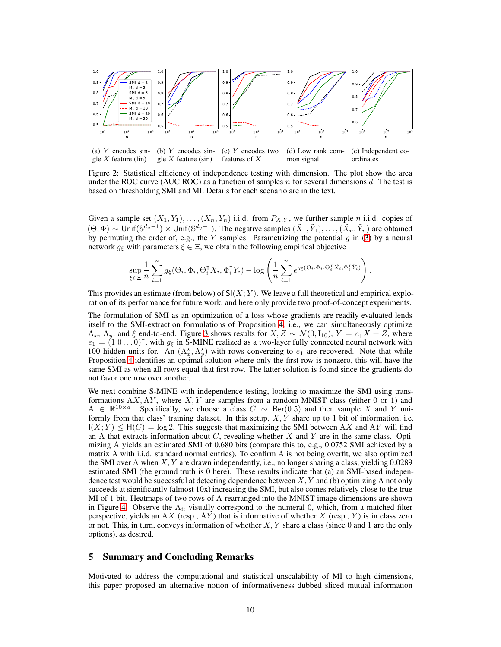<span id="page-9-0"></span>

Figure 2: Statistical efficiency of independence testing with dimension. The plot show the area under the ROC curve (AUC ROC) as a function of samples  $n$  for several dimensions  $d$ . The test is based on thresholding SMI and MI. Details for each scenario are in the text.

mon signal

ordinates

.

features of X

Given a sample set  $(X_1, Y_1), \ldots, (X_n, Y_n)$  i.i.d. from  $P_{X,Y}$ , we further sample n i.i.d. copies of  $(\Theta, \Phi) \sim \text{Unif}(\mathbb{S}^{d_x-1}) \times \text{Unif}(\mathbb{S}^{d_y-1})$ . The negative samples  $(\tilde{X}_1, \tilde{Y}_1), \ldots, (\tilde{X}_n, \tilde{Y}_n)$  are obtained by permuting the order of, e.g., the Y samples. Parametrizing the potential  $g$  in [\(3\)](#page-4-3) by a neural network  $g_{\xi}$  with parameters  $\xi \in \Xi$ , we obtain the following empirical objective

$$
\sup_{\xi \in \Xi} \frac{1}{n} \sum_{i=1}^{n} g_{\xi}(\Theta_i, \Phi_i, \Theta_i^{\mathsf{T}} X_i, \Phi_i^{\mathsf{T}} Y_i) - \log \left( \frac{1}{n} \sum_{i=1}^{n} e^{g_{\xi}(\Theta_i, \Phi_i, \Theta_i^{\mathsf{T}} \tilde X_i, \Phi_i^{\mathsf{T}} \tilde Y_i)} \right)
$$

This provides an estimate (from below) of  $SI(X; Y)$ . We leave a full theoretical and empirical exploration of its performance for future work, and here only provide two proof-of-concept experiments.

The formulation of SMI as an optimization of a loss whose gradients are readily evaluated lends itself to the SMI-extraction formulations of Proposition [4,](#page-6-3) i.e., we can simultaneously optimize  $A_x$ ,  $A_y$ , and  $\xi$  end-to-end. Figure [3](#page-10-3) shows results for  $X, Z \sim \mathcal{N}(0, I_{10})$ ,  $Y = e_1^T X + Z$ , where  $e_1 = (1 \ 0 \dots 0)^\intercal$ , with  $g_{\xi}$  in S-MINE realized as a two-layer fully connected neural network with 100 hidden units for. An  $(A_x^*, A_y^*)$  with rows converging to  $e_1$  are recovered. Note that while Proposition [4](#page-6-3) identifies an optimal solution where only the first row is nonzero, this will have the same SMI as when all rows equal that first row. The latter solution is found since the gradients do not favor one row over another.

We next combine S-MINE with independence testing, looking to maximize the SMI using transformations  $AX, AY$ , where  $X, Y$  are samples from a random MNIST class (either 0 or 1) and  $A \in \mathbb{R}^{10 \times d}$ . Specifically, we choose a class  $C \sim \text{Ber}(0.5)$  and then sample X and Y uniformly from that class' training dataset. In this setup,  $X, Y$  share up to 1 bit of information, i.e.  $I(X; Y) \leq H(C) = \log 2$ . This suggests that maximizing the SMI between AX and AY will find an A that extracts information about  $C$ , revealing whether  $X$  and  $Y$  are in the same class. Optimizing A yields an estimated SMI of 0.680 bits (compare this to, e.g., 0.0752 SMI achieved by a matrix A with i.i.d. standard normal entries). To confirm A is not being overfit, we also optimized the SMI over A when  $X, Y$  are drawn independently, i.e., no longer sharing a class, yielding 0.0289 estimated SMI (the ground truth is 0 here). These results indicate that (a) an SMI-based independence test would be successful at detecting dependence between  $X, Y$  and (b) optimizing A not only succeeds at significantly (almost 10x) increasing the SMI, but also comes relatively close to the true MI of 1 bit. Heatmaps of two rows of A rearranged into the MNIST image dimensions are shown in Figure [4.](#page-10-3) Observe the  $A_i$ : visually correspond to the numeral 0, which, from a matched filter perspective, yields an AX (resp., AY) that is informative of whether X (resp., Y) is in class zero or not. This, in turn, conveys information of whether  $X, Y$  share a class (since 0 and 1 are the only options), as desired.

# 5 Summary and Concluding Remarks

gle  $X$  feature (lin)

gle  $X$  feature (sin)

Motivated to address the computational and statistical unscalability of MI to high dimensions, this paper proposed an alternative notion of informativeness dubbed sliced mutual information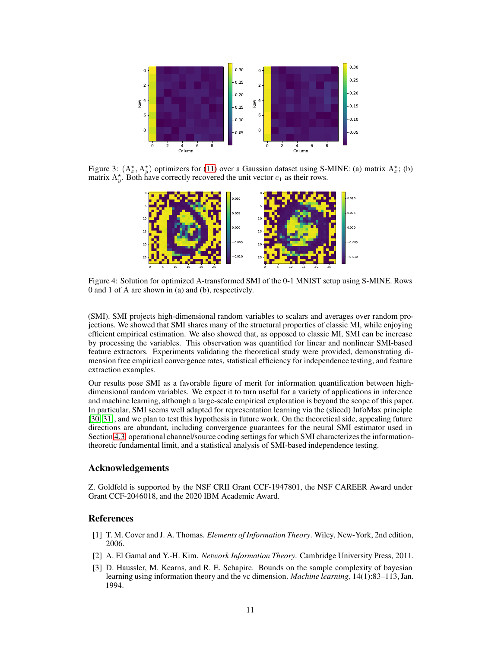<span id="page-10-3"></span>

Figure 3:  $(A_x^*, A_y^*)$  optimizers for [\(11\)](#page-6-2) over a Gaussian dataset using S-MINE: (a) matrix  $A_x^*$ ; (b) matrix  $A_{y}^{*}$ . Both have correctly recovered the unit vector  $e_1$  as their rows.



Figure 4: Solution for optimized A-transformed SMI of the 0-1 MNIST setup using S-MINE. Rows 0 and 1 of A are shown in (a) and (b), respectively.

(SMI). SMI projects high-dimensional random variables to scalars and averages over random projections. We showed that SMI shares many of the structural properties of classic MI, while enjoying efficient empirical estimation. We also showed that, as opposed to classic MI, SMI can be increase by processing the variables. This observation was quantified for linear and nonlinear SMI-based feature extractors. Experiments validating the theoretical study were provided, demonstrating dimension free empirical convergence rates, statistical efficiency for independence testing, and feature extraction examples.

Our results pose SMI as a favorable figure of merit for information quantification between highdimensional random variables. We expect it to turn useful for a variety of applications in inference and machine learning, although a large-scale empirical exploration is beyond the scope of this paper. In particular, SMI seems well adapted for representation learning via the (sliced) InfoMax principle [\[30,](#page-12-7) [31\]](#page-12-8), and we plan to test this hypothesis in future work. On the theoretical side, appealing future directions are abundant, including convergence guarantees for the neural SMI estimator used in Section [4.3,](#page-8-0) operational channel/source coding settings for which SMI characterizes the informationtheoretic fundamental limit, and a statistical analysis of SMI-based independence testing.

## Acknowledgements

Z. Goldfeld is supported by the NSF CRII Grant CCF-1947801, the NSF CAREER Award under Grant CCF-2046018, and the 2020 IBM Academic Award.

## <span id="page-10-0"></span>References

- [1] T. M. Cover and J. A. Thomas. *Elements of Information Theory*. Wiley, New-York, 2nd edition, 2006.
- <span id="page-10-2"></span><span id="page-10-1"></span>[2] A. El Gamal and Y.-H. Kim. *Network Information Theory*. Cambridge University Press, 2011.
- [3] D. Haussler, M. Kearns, and R. E. Schapire. Bounds on the sample complexity of bayesian learning using information theory and the vc dimension. *Machine learning*, 14(1):83–113, Jan. 1994.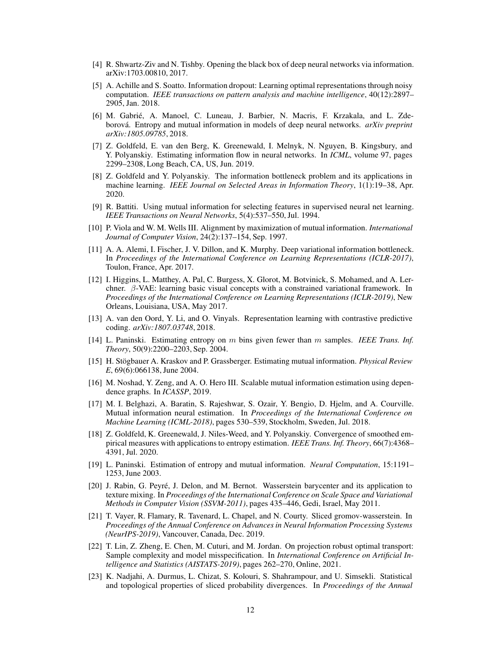- <span id="page-11-1"></span><span id="page-11-0"></span>[4] R. Shwartz-Ziv and N. Tishby. Opening the black box of deep neural networks via information. arXiv:1703.00810, 2017.
- [5] A. Achille and S. Soatto. Information dropout: Learning optimal representations through noisy computation. *IEEE transactions on pattern analysis and machine intelligence*, 40(12):2897– 2905, Jan. 2018.
- <span id="page-11-2"></span>[6] M. Gabrié, A. Manoel, C. Luneau, J. Barbier, N. Macris, F. Krzakala, and L. Zdeborová. Entropy and mutual information in models of deep neural networks. *arXiv preprint arXiv:1805.09785*, 2018.
- <span id="page-11-3"></span>[7] Z. Goldfeld, E. van den Berg, K. Greenewald, I. Melnyk, N. Nguyen, B. Kingsbury, and Y. Polyanskiy. Estimating information flow in neural networks. In *ICML*, volume 97, pages 2299–2308, Long Beach, CA, US, Jun. 2019.
- <span id="page-11-4"></span>[8] Z. Goldfeld and Y. Polyanskiy. The information bottleneck problem and its applications in machine learning. *IEEE Journal on Selected Areas in Information Theory*, 1(1):19–38, Apr. 2020.
- <span id="page-11-5"></span>[9] R. Battiti. Using mutual information for selecting features in supervised neural net learning. *IEEE Transactions on Neural Networks*, 5(4):537–550, Jul. 1994.
- <span id="page-11-6"></span>[10] P. Viola and W. M. Wells III. Alignment by maximization of mutual information. *International Journal of Computer Vision*, 24(2):137–154, Sep. 1997.
- <span id="page-11-7"></span>[11] A. A. Alemi, I. Fischer, J. V. Dillon, and K. Murphy. Deep variational information bottleneck. In *Proceedings of the International Conference on Learning Representations (ICLR-2017)*, Toulon, France, Apr. 2017.
- <span id="page-11-8"></span>[12] I. Higgins, L. Matthey, A. Pal, C. Burgess, X. Glorot, M. Botvinick, S. Mohamed, and A. Lerchner. β-VAE: learning basic visual concepts with a constrained variational framework. In *Proceedings of the International Conference on Learning Representations (ICLR-2019)*, New Orleans, Louisiana, USA, May 2017.
- <span id="page-11-9"></span>[13] A. van den Oord, Y. Li, and O. Vinyals. Representation learning with contrastive predictive coding. *arXiv:1807.03748*, 2018.
- <span id="page-11-10"></span>[14] L. Paninski. Estimating entropy on m bins given fewer than m samples. *IEEE Trans. Inf. Theory*, 50(9):2200–2203, Sep. 2004.
- <span id="page-11-11"></span>[15] H. Stögbauer A. Kraskov and P. Grassberger. Estimating mutual information. *Physical Review E*, 69(6):066138, June 2004.
- <span id="page-11-12"></span>[16] M. Noshad, Y. Zeng, and A. O. Hero III. Scalable mutual information estimation using dependence graphs. In *ICASSP*, 2019.
- <span id="page-11-13"></span>[17] M. I. Belghazi, A. Baratin, S. Rajeshwar, S. Ozair, Y. Bengio, D. Hjelm, and A. Courville. Mutual information neural estimation. In *Proceedings of the International Conference on Machine Learning (ICML-2018)*, pages 530–539, Stockholm, Sweden, Jul. 2018.
- <span id="page-11-14"></span>[18] Z. Goldfeld, K. Greenewald, J. Niles-Weed, and Y. Polyanskiy. Convergence of smoothed empirical measures with applications to entropy estimation. *IEEE Trans. Inf. Theory*, 66(7):4368– 4391, Jul. 2020.
- <span id="page-11-15"></span>[19] L. Paninski. Estimation of entropy and mutual information. *Neural Computation*, 15:1191– 1253, June 2003.
- <span id="page-11-16"></span>[20] J. Rabin, G. Peyré, J. Delon, and M. Bernot. Wasserstein barycenter and its application to texture mixing. In *Proceedings of the International Conference on Scale Space and Variational Methods in Computer Vision (SSVM-2011)*, pages 435–446, Gedi, Israel, May 2011.
- <span id="page-11-17"></span>[21] T. Vayer, R. Flamary, R. Tavenard, L. Chapel, and N. Courty. Sliced gromov-wasserstein. In *Proceedings of the Annual Conference on Advances in Neural Information Processing Systems (NeurIPS-2019)*, Vancouver, Canada, Dec. 2019.
- <span id="page-11-18"></span>[22] T. Lin, Z. Zheng, E. Chen, M. Cuturi, and M. Jordan. On projection robust optimal transport: Sample complexity and model misspecification. In *International Conference on Artificial Intelligence and Statistics (AISTATS-2019)*, pages 262–270, Online, 2021.
- <span id="page-11-19"></span>[23] K. Nadjahi, A. Durmus, L. Chizat, S. Kolouri, S. Shahrampour, and U. Simsekli. Statistical and topological properties of sliced probability divergences. In *Proceedings of the Annual*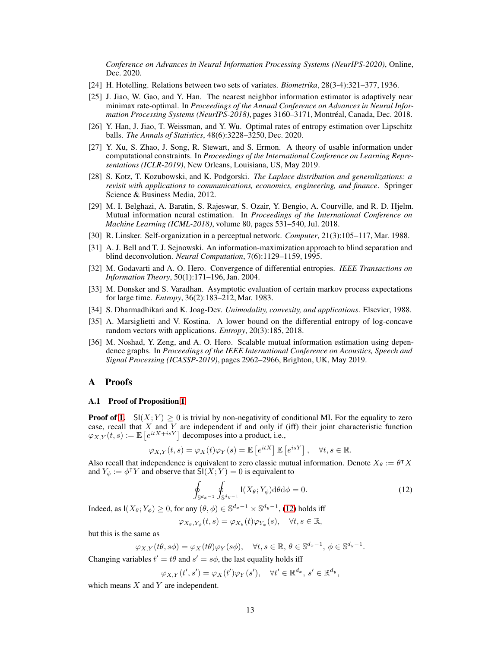*Conference on Advances in Neural Information Processing Systems (NeurIPS-2020)*, Online, Dec. 2020.

- <span id="page-12-1"></span><span id="page-12-0"></span>[24] H. Hotelling. Relations between two sets of variates. *Biometrika*, 28(3-4):321–377, 1936.
- [25] J. Jiao, W. Gao, and Y. Han. The nearest neighbor information estimator is adaptively near minimax rate-optimal. In *Proceedings of the Annual Conference on Advances in Neural Information Processing Systems (NeurIPS-2018)*, pages 3160–3171, Montréal, Canada, Dec. 2018.
- <span id="page-12-2"></span>[26] Y. Han, J. Jiao, T. Weissman, and Y. Wu. Optimal rates of entropy estimation over Lipschitz balls. *The Annals of Statistics*, 48(6):3228–3250, Dec. 2020.
- <span id="page-12-3"></span>[27] Y. Xu, S. Zhao, J. Song, R. Stewart, and S. Ermon. A theory of usable information under computational constraints. In *Proceedings of the International Conference on Learning Representations (ICLR-2019)*, New Orleans, Louisiana, US, May 2019.
- <span id="page-12-5"></span>[28] S. Kotz, T. Kozubowski, and K. Podgorski. *The Laplace distribution and generalizations: a revisit with applications to communications, economics, engineering, and finance*. Springer Science & Business Media, 2012.
- <span id="page-12-6"></span>[29] M. I. Belghazi, A. Baratin, S. Rajeswar, S. Ozair, Y. Bengio, A. Courville, and R. D. Hjelm. Mutual information neural estimation. In *Proceedings of the International Conference on Machine Learning (ICML-2018)*, volume 80, pages 531–540, Jul. 2018.
- <span id="page-12-8"></span><span id="page-12-7"></span>[30] R. Linsker. Self-organization in a perceptual network. *Computer*, 21(3):105–117, Mar. 1988.
- [31] A. J. Bell and T. J. Sejnowski. An information-maximization approach to blind separation and blind deconvolution. *Neural Computation*, 7(6):1129–1159, 1995.
- <span id="page-12-10"></span>[32] M. Godavarti and A. O. Hero. Convergence of differential entropies. *IEEE Transactions on Information Theory*, 50(1):171–196, Jan. 2004.
- <span id="page-12-11"></span>[33] M. Donsker and S. Varadhan. Asymptotic evaluation of certain markov process expectations for large time. *Entropy*, 36(2):183–212, Mar. 1983.
- <span id="page-12-13"></span><span id="page-12-12"></span>[34] S. Dharmadhikari and K. Joag-Dev. *Unimodality, convexity, and applications*. Elsevier, 1988.
- [35] A. Marsiglietti and V. Kostina. A lower bound on the differential entropy of log-concave random vectors with applications. *Entropy*, 20(3):185, 2018.
- <span id="page-12-14"></span>[36] M. Noshad, Y. Zeng, and A. O. Hero. Scalable mutual information estimation using dependence graphs. In *Proceedings of the IEEE International Conference on Acoustics, Speech and Signal Processing (ICASSP-2019)*, pages 2962–2966, Brighton, UK, May 2019.

## <span id="page-12-4"></span>A Proofs

## A.1 Proof of Proposition [1](#page-3-0)

**Proof of [1.](#page-3-3)** SI(X; Y)  $\geq$  0 is trivial by non-negativity of conditional MI. For the equality to zero case, recall that  $X$  and  $Y$  are independent if and only if (iff) their joint characteristic function  $\varphi_{X,Y}(t,s) := \mathbb{E}\left[e^{itX+isY}\right]$  decomposes into a product, i.e.,

$$
\varphi_{X,Y}(t,s) = \varphi_X(t)\varphi_Y(s) = \mathbb{E}\left[e^{itX}\right]\mathbb{E}\left[e^{isY}\right], \quad \forall t, s \in \mathbb{R}.
$$

Also recall that independence is equivalent to zero classic mutual information. Denote  $X_{\theta} := \theta^{\intercal} X$ and  $Y_{\phi} := \phi^{\dagger} Y$  and observe that  $\mathsf{SI}(X;Y) = 0$  is equivalent to

<span id="page-12-9"></span>
$$
\oint_{\mathbb{S}^{d_x-1}} \oint_{\mathbb{S}^{d_y-1}} I(X_{\theta}; Y_{\phi}) \mathrm{d}\theta \mathrm{d}\phi = 0. \tag{12}
$$

Indeed, as  $I(X_{\theta}; Y_{\phi}) \ge 0$ , for any  $(\theta, \phi) \in \mathbb{S}^{d_x - 1} \times \mathbb{S}^{d_y - 1}$ , [\(12\)](#page-12-9) holds iff

$$
\varphi_{X_{\theta},Y_{\phi}}(t,s)=\varphi_{X_{\theta}}(t)\varphi_{Y_{\phi}}(s), \quad \forall t,s \in \mathbb{R},
$$

but this is the same as

$$
\varphi_{X,Y}(t\theta,s\phi)=\varphi_X(t\theta)\varphi_Y(s\phi), \quad \forall t,s\in\mathbb{R},\,\theta\in\mathbb{S}^{d_x-1},\,\phi\in\mathbb{S}^{d_y-1}.
$$

Changing variables  $t' = t\theta$  and  $s' = s\phi$ , the last equality holds iff

 $\varphi_{X,Y}(t',s') = \varphi_X(t')\varphi_Y(s'), \quad \forall t' \in \mathbb{R}^{d_x}, s' \in \mathbb{R}^{d_y},$ 

which means  $X$  and  $Y$  are independent.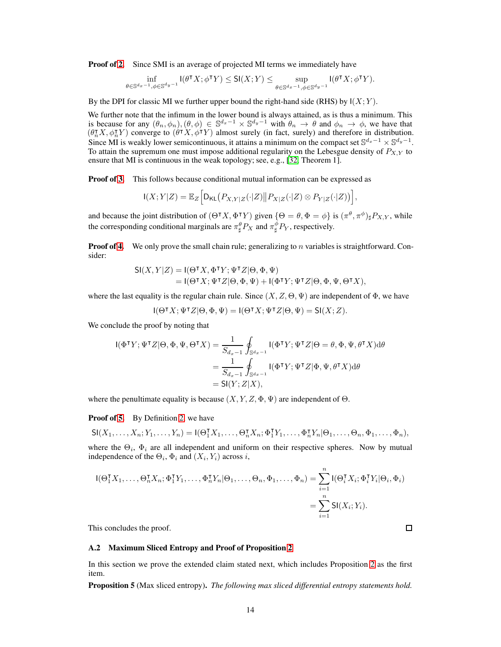**Proof of [2.](#page-3-4)** Since SMI is an average of projected MI terms we immediately have

$$
\inf_{\theta \in \mathbb{S}^{d_x-1}, \phi \in \mathbb{S}^{d_y-1}} I(\theta^{\intercal} X; \phi^{\intercal} Y) \leq \mathsf{SI}(X; Y) \leq \sup_{\theta \in \mathbb{S}^{d_x-1}, \phi \in \mathbb{S}^{d_y-1}} I(\theta^{\intercal} X; \phi^{\intercal} Y).
$$

By the DPI for classic MI we further upper bound the right-hand side (RHS) by  $I(X; Y)$ .

We further note that the infimum in the lower bound is always attained, as is thus a minimum. This is because for any  $(\theta_n, \phi_n), (\theta, \phi) \in \mathbb{S}^{d_x-1} \times \mathbb{S}^{d_y-1}$  with  $\theta_n \to \theta$  and  $\phi_n \to \phi$ , we have that  $(\theta_n^{\intercal} X, \phi_n^{\intercal} Y)$  converge to  $(\theta^{\intercal} X, \phi^{\intercal} Y)$  almost surely (in fact, surely) and therefore in distribution. Since MI is weakly lower semicontinuous, it attains a minimum on the compact set  $\mathbb{S}^{d_x-1} \times \mathbb{S}^{d_y-1}$ . To attain the supremum one must impose additional regularity on the Lebesgue density of  $P_{X,Y}$  to ensure that MI is continuous in the weak topology; see, e.g., [\[32,](#page-12-10) Theorem 1].

Proof of [3.](#page-3-5) This follows because conditional mutual information can be expressed as

$$
\mathsf{I}(X;Y|Z) = \mathbb{E}_Z \Big[ \mathsf{D}_{\mathsf{KL}} \big( P_{X,Y|Z}(\cdot|Z) \big\| P_{X|Z}(\cdot|Z) \otimes P_{Y|Z}(\cdot|Z) \big) \Big],
$$

and because the joint distribution of  $(\Theta^{\intercal} X, \Phi^{\intercal} Y)$  given  $\{\Theta = \theta, \Phi = \phi\}$  is  $(\pi^{\theta}, \pi^{\phi})_{\sharp} P_{X,Y}$ , while the corresponding conditional marginals are  $\pi_\sharp^\theta P_X$  and  $\pi_\sharp^\phi P_Y$ , respectively.

**Proof of [4.](#page-3-6)** We only prove the small chain rule; generalizing to  $n$  variables is straightforward. Consider:

$$
\begin{aligned} \mathsf{SI}(X,Y|Z) &= \mathsf{I}(\Theta^\intercal X, \Phi^\intercal Y; \Psi^\intercal Z | \Theta, \Phi, \Psi) \\ &= \mathsf{I}(\Theta^\intercal X; \Psi^\intercal Z | \Theta, \Phi, \Psi) + \mathsf{I}(\Phi^\intercal Y; \Psi^\intercal Z | \Theta, \Phi, \Psi, \Theta^\intercal X), \end{aligned}
$$

where the last equality is the regular chain rule. Since  $(X, Z, \Theta, \Psi)$  are independent of  $\Phi$ , we have

$$
I(\Theta^{\intercal} X; \Psi^{\intercal} Z | \Theta, \Phi, \Psi) = I(\Theta^{\intercal} X; \Psi^{\intercal} Z | \Theta, \Psi) = \mathsf{SI}(X; Z).
$$

We conclude the proof by noting that

$$
I(\Phi^{\mathsf{T}}Y; \Psi^{\mathsf{T}}Z | \Theta, \Phi, \Psi, \Theta^{\mathsf{T}}X) = \frac{1}{S_{d_x - 1}} \oint_{\mathbb{S}^{d_x - 1}} I(\Phi^{\mathsf{T}}Y; \Psi^{\mathsf{T}}Z | \Theta = \theta, \Phi, \Psi, \theta^{\mathsf{T}}X) d\theta
$$
  
= 
$$
\frac{1}{S_{d_x - 1}} \oint_{\mathbb{S}^{d_x - 1}} I(\Phi^{\mathsf{T}}Y; \Psi^{\mathsf{T}}Z | \Phi, \Psi, \theta^{\mathsf{T}}X) d\theta
$$
  
= 
$$
SI(Y; Z | X),
$$

where the penultimate equality is because  $(X, Y, Z, \Phi, \Psi)$  are independent of  $\Theta$ .

Proof of [5.](#page-3-7) By Definition [2,](#page-3-8) we have

$$
\mathsf{SI}(X_1,\ldots,X_n;Y_1,\ldots,Y_n)=\mathsf{I}(\Theta_1^{\mathsf{T}}X_1,\ldots,\Theta_n^{\mathsf{T}}X_n;\Phi_1^{\mathsf{T}}Y_1,\ldots,\Phi_n^{\mathsf{T}}Y_n|\Theta_1,\ldots,\Theta_n,\Phi_1,\ldots,\Phi_n),
$$

where the  $\Theta_i$ ,  $\Phi_i$  are all independent and uniform on their respective spheres. Now by mutual independence of the  $\Theta_i$ ,  $\Phi_i$  and  $(X_i, Y_i)$  across i,

$$
\begin{aligned} \mathsf{I}(\Theta_1^{\mathsf{T}} X_1, \dots, \Theta_n^{\mathsf{T}} X_n; \Phi_1^{\mathsf{T}} Y_1, \dots, \Phi_n^{\mathsf{T}} Y_n | \Theta_1, \dots, \Theta_n, \Phi_1, \dots, \Phi_n) &= \sum_{i=1}^n \mathsf{I}(\Theta_i^{\mathsf{T}} X_i; \Phi_i^{\mathsf{T}} Y_i | \Theta_i, \Phi_i) \\ &= \sum_{i=1}^n \mathsf{SI}(X_i; Y_i). \end{aligned}
$$

 $\Box$ 

<span id="page-13-0"></span>This concludes the proof.

## A.2 Maximum Sliced Entropy and Proof of Proposition [2](#page-4-4)

In this section we prove the extended claim stated next, which includes Proposition [2](#page-4-4) as the first item.

Proposition 5 (Max sliced entropy). *The following max sliced differential entropy statements hold.*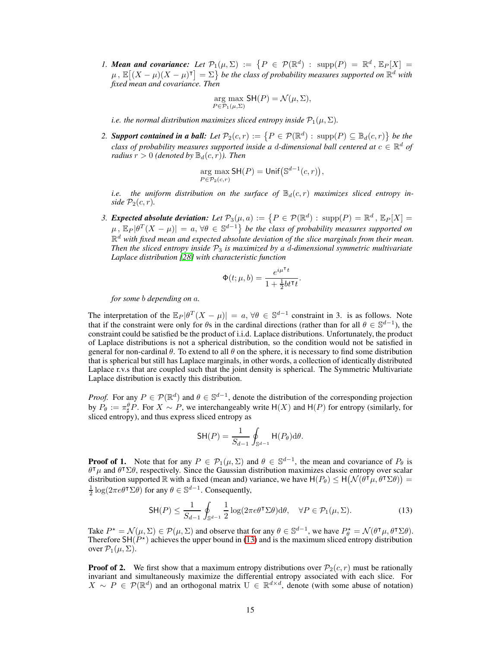*1. Mean and covariance:* Let  $\mathcal{P}_1(\mu, \Sigma) := \{ P \in \mathcal{P}(\mathbb{R}^d) : \text{supp}(P) = \mathbb{R}^d, \mathbb{E}_P[X] =$  $\mu$ ,  $\mathbb{E}[(X-\mu)(X-\mu)^{\intercal}] = \Sigma$  be the class of probability measures supported on  $\mathbb{R}^d$  with *fixed mean and covariance. Then*

$$
\underset{P \in \mathcal{P}_1(\mu, \Sigma)}{\arg \max} \mathsf{SH}(P) = \mathcal{N}(\mu, \Sigma),
$$

*i.e. the normal distribution maximizes sliced entropy inside*  $\mathcal{P}_1(\mu, \Sigma)$ *.* 

2. **Support contained in a ball:** Let  $\mathcal{P}_2(c,r) := \{P \in \mathcal{P}(\mathbb{R}^d) : \operatorname{supp}(P) \subseteq \mathbb{B}_d(c,r)\}\$  be the *class of probability measures supported inside a d-dimensional ball centered at*  $c \in \mathbb{R}^d$  *of radius*  $r > 0$  *(denoted by*  $\mathbb{B}_d(c, r)$ *). Then* 

$$
\underset{P \in \mathcal{P}_2(c,r)}{\arg \max} \mathsf{SH}(P) = \mathsf{Unif}\big(\mathbb{S}^{d-1}(c,r)\big),
$$

*i.e.* the uniform distribution on the surface of  $\mathbb{B}_d(c,r)$  maximizes sliced entropy in*side*  $\mathcal{P}_2(c,r)$ *.* 

3. **Expected absolute deviation:** Let  $\mathcal{P}_3(\mu, a) := \{P \in \mathcal{P}(\mathbb{R}^d) : \operatorname{supp}(P) = \mathbb{R}^d, \mathbb{E}_P[X] =$  $\mu$ ,  $\mathbb{E}_P[\theta^T(X-\mu)] = a$ ,  $\forall \theta \in \mathbb{S}^{d-1}$  be the class of probability measures supported on R <sup>d</sup> *with fixed mean and expected absolute deviation of the slice marginals from their mean. Then the sliced entropy inside* P<sup>3</sup> *is maximized by a* d*-dimensional symmetric multivariate Laplace distribution [\[28\]](#page-12-5) with characteristic function*

$$
\Phi(t;\mu,b) = \frac{e^{i\mu^\mathsf{T} t}}{1 + \frac{1}{2}bt^\mathsf{T} t}.
$$

*for some* b *depending on* a*.*

The interpretation of the  $\mathbb{E}_P[\theta^T(X-\mu)] = a, \forall \theta \in \mathbb{S}^{d-1}$  constraint in 3. is as follows. Note that if the constraint were only for  $\theta$ s in the cardinal directions (rather than for all  $\theta \in \mathbb{S}^{d-1}$ ), the constraint could be satisfied be the product of i.i.d. Laplace distributions. Unfortunately, the product of Laplace distributions is not a spherical distribution, so the condition would not be satisfied in general for non-cardinal  $\theta$ . To extend to all  $\theta$  on the sphere, it is necessary to find some distribution that is spherical but still has Laplace marginals, in other words, a collection of identically distributed Laplace r.v.s that are coupled such that the joint density is spherical. The Symmetric Multivariate Laplace distribution is exactly this distribution.

*Proof.* For any  $P \in \mathcal{P}(\mathbb{R}^d)$  and  $\theta \in \mathbb{S}^{d-1}$ , denote the distribution of the corresponding projection by  $P_{\theta} := \pi_{\sharp}^{\theta} P$ . For  $X \sim P$ , we interchangeably write  $H(X)$  and  $H(P)$  for entropy (similarly, for sliced entropy), and thus express sliced entropy as

<span id="page-14-0"></span>
$$
\mathsf{SH}(P) = \frac{1}{S_{d-1}} \oint_{\mathbb{S}^{d-1}} \mathsf{H}(P_{\theta}) \mathrm{d}\theta.
$$

**Proof of 1.** Note that for any  $P \in \mathcal{P}_1(\mu, \Sigma)$  and  $\theta \in \mathbb{S}^{d-1}$ , the mean and covariance of  $P_\theta$  is  $\theta^{\dagger} \mu$  and  $\theta^{\dagger} \Sigma \theta$ , respectively. Since the Gaussian distribution maximizes classic entropy over scalar distribution supported  $\mathbb R$  with a fixed (mean and) variance, we have  $H(P_\theta) \leq H(\mathcal N(\theta^\intercal \mu, \theta^\intercal \Sigma \theta)) =$  $\frac{1}{2} \log(2\pi e \theta^{\mathsf{T}} \Sigma \theta)$  for any  $\theta \in \mathbb{S}^{d-1}$ . Consequently,

$$
\mathsf{SH}(P) \le \frac{1}{S_{d-1}} \oint_{\mathbb{S}^{d-1}} \frac{1}{2} \log(2\pi e \theta^{\mathsf{T}} \Sigma \theta) \mathrm{d}\theta, \quad \forall P \in \mathcal{P}_1(\mu, \Sigma). \tag{13}
$$

Take  $P^* = \mathcal{N}(\mu, \Sigma) \in \mathcal{P}(\mu, \Sigma)$  and observe that for any  $\theta \in \mathbb{S}^{d-1}$ , we have  $P^*_{\theta} = \mathcal{N}(\theta^{\intercal}\mu, \theta^{\intercal}\Sigma\theta)$ . Therefore  $\mathsf{SH}(P^*)$  achieves the upper bound in [\(13\)](#page-14-0) and is the maximum sliced entropy distribution over  $\mathcal{P}_1(\mu, \Sigma)$ .

<span id="page-14-1"></span>**Proof of 2.** We first show that a maximum entropy distributions over  $\mathcal{P}_2(c, r)$  must be rationally invariant and simultaneously maximize the differential entropy associated with each slice. For  $X \sim P \in \mathcal{P}(\mathbb{R}^d)$  and an orthogonal matrix  $U \in \mathbb{R}^{d \times d}$ , denote (with some abuse of notation)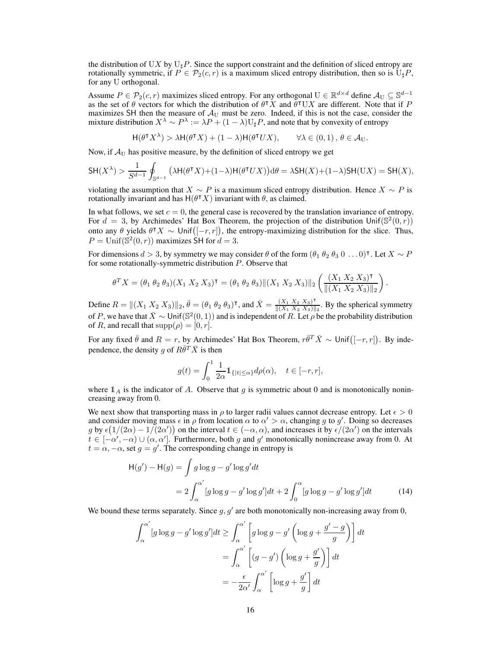the distribution of UX by  $U_{\sharp}P$ . Since the support constraint and the definition of sliced entropy are rotationally symmetric, if  $P \in \mathcal{P}_2(c, r)$  is a maximum sliced entropy distribution, then so is  $U_{\sharp}P$ , for any U orthogonal.

Assume  $P \in \mathcal{P}_2(c, r)$  maximizes sliced entropy. For any orthogonal  $U \in \mathbb{R}^{d \times d}$  define  $\mathcal{A}_U \subseteq \mathbb{S}^{d-1}$ as the set of  $\theta$  vectors for which the distribution of  $\theta^{\dagger} X$  and  $\theta^{\dagger} U X$  are different. Note that if P maximizes SH then the measure of  $A_U$  must be zero. Indeed, if this is not the case, consider the mixture distribution  $X^{\lambda} \sim P^{\lambda} := \lambda P + (1 - \lambda)U_{\sharp}P$ , and note that by convexity of entropy

> $H(\theta^{\intercal} X^{\lambda}) > \lambda H(\theta^{\intercal} X) + (1 - \lambda)H(\theta^{\intercal} X)$  $\forall \lambda \in (0, 1), \theta \in \mathcal{A}_{\text{U}}.$

Now, if  $A_U$  has positive measure, by the definition of sliced entropy we get

$$
\mathsf{SH}(X^\lambda) > \frac{1}{S^{d-1}}\oint_{\mathbb{S}^{d-1}}\big(\lambda\mathsf{H}(\theta^\intercal X) + (1-\lambda)\mathsf{H}(\theta^\intercal UX)\big)\text{d}\theta = \lambda\mathsf{SH}(X) + (1-\lambda)\mathsf{SH}(\mathsf{U} X) = \mathsf{SH}(X),
$$

violating the assumption that  $X \sim P$  is a maximum sliced entropy distribution. Hence  $X \sim P$  is rotationally invariant and has  $H(\theta^{\intercal} X)$  invariant with  $\theta$ , as claimed.

In what follows, we set  $c = 0$ , the general case is recovered by the translation invariance of entropy. For  $d = 3$ , by Archimedes' Hat Box Theorem, the projection of the distribution Unif( $\mathbb{S}^2(0, r)$ ) onto any  $\theta$  yields  $\theta^{\intercal} X \sim \text{Unif}([-r,r])$ , the entropy-maximizing distribution for the slice. Thus,  $P = \text{Unif}(\mathbb{S}^2(0,r))$  maximizes SH for  $d = 3$ .

For dimensions  $d > 3$ , by symmetry we may consider  $\theta$  of the form  $(\theta_1 \theta_2 \theta_3 \theta \dots 0)^\intercal$ . Let  $X \sim P$ for some rotationally-symmetric distribution P. Observe that

$$
\theta^T X = (\theta_1 \theta_2 \theta_3)(X_1 X_2 X_3)^{\mathsf{T}} = (\theta_1 \theta_2 \theta_3) ||(X_1 X_2 X_3)||_2 \left(\frac{(X_1 X_2 X_3)^{\mathsf{T}}}{||(X_1 X_2 X_3)||_2}\right)
$$

.

Define  $R = ||(X_1 X_2 X_3)||_2$ ,  $\bar{\theta} = (\theta_1 \theta_2 \theta_3)^{\dagger}$ , and  $\bar{X} = \frac{(X_1 X_2 X_3)^{\dagger}}{||(X_1 X_2 X_3)||_2}$  $\frac{(X_1 X_2 X_3)^n}{\|(X_1 X_2 X_3)\|_2}$ . By the spherical symmetry of P, we have that  $\bar{X} \sim \text{Unif}(\mathbb{S}^2(0,1))$  and is independent of R. Let  $\rho$  be the probability distribution of R, and recall that  $supp(\rho) = [0, r]$ .

For any fixed  $\bar{\theta}$  and  $R = r$ , by Archimedes' Hat Box Theorem,  $r\bar{\theta}^T \bar{X} \sim \text{Unif}([-r,r])$ . By independence, the density g of  $R\overline{\theta}^T\overline{X}$  is then

$$
g(t) = \int_0^1 \frac{1}{2\alpha} 1\!\!1_{\{|t| \leq \alpha\}} d\rho(\alpha), \quad t \in [-r, r],
$$

where  $\mathbb{1}_A$  is the indicator of A. Observe that g is symmetric about 0 and is monotonically nonincreasing away from 0.

We next show that transporting mass in  $\rho$  to larger radii values cannot decrease entropy. Let  $\epsilon > 0$ and consider moving mass  $\epsilon$  in  $\rho$  from location  $\alpha$  to  $\alpha' > \alpha$ , changing g to g'. Doing so decreases g by  $\epsilon(1/(2\alpha) - 1/(2\alpha'))$  on the interval  $t \in (-\alpha, \alpha)$ , and increases it by  $\epsilon/(2\alpha')$  on the intervals  $t \in [-\alpha', -\alpha) \cup (\alpha, \alpha']$ . Furthermore, both g and g' monotonically nonincrease away from 0. At  $t = \alpha, -\alpha$ , set  $g = g'$ . The corresponding change in entropy is

$$
H(g') - H(g) = \int g \log g - g' \log g' dt
$$
  
= 
$$
2 \int_{\alpha}^{\alpha'} [g \log g - g' \log g'] dt + 2 \int_{0}^{\alpha} [g \log g - g' \log g'] dt
$$
 (14)

We bound these terms separately. Since  $g, g'$  are both monotonically non-increasing away from 0,

$$
\int_{\alpha}^{\alpha'} [g \log g - g' \log g'] dt \ge \int_{\alpha}^{\alpha'} \left[ g \log g - g' \left( \log g + \frac{g' - g}{g} \right) \right] dt
$$

$$
= \int_{\alpha}^{\alpha'} \left[ (g - g') \left( \log g + \frac{g'}{g} \right) \right] dt
$$

$$
= -\frac{\epsilon}{2\alpha'} \int_{\alpha}^{\alpha'} \left[ \log g + \frac{g'}{g} \right] dt
$$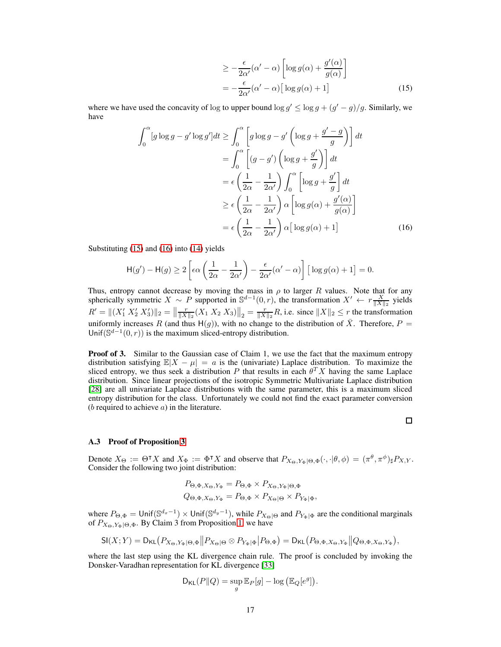$$
\geq -\frac{\epsilon}{2\alpha'}(\alpha' - \alpha) \left[ \log g(\alpha) + \frac{g'(\alpha)}{g(\alpha)} \right]
$$

$$
= -\frac{\epsilon}{2\alpha'}(\alpha' - \alpha) \left[ \log g(\alpha) + 1 \right]
$$
(15)

where we have used the concavity of log to upper bound  $\log g' \leq \log g + (g' - g)/g$ . Similarly, we have

$$
\int_0^{\alpha} [g \log g - g' \log g'] dt \ge \int_0^{\alpha} \left[ g \log g - g' \left( \log g + \frac{g' - g}{g} \right) \right] dt
$$
  
\n
$$
= \int_0^{\alpha} \left[ (g - g') \left( \log g + \frac{g'}{g} \right) \right] dt
$$
  
\n
$$
= \epsilon \left( \frac{1}{2\alpha} - \frac{1}{2\alpha'} \right) \int_0^{\alpha} \left[ \log g + \frac{g'}{g} \right] dt
$$
  
\n
$$
\ge \epsilon \left( \frac{1}{2\alpha} - \frac{1}{2\alpha'} \right) \alpha \left[ \log g(\alpha) + \frac{g'(\alpha)}{g(\alpha)} \right]
$$
  
\n
$$
= \epsilon \left( \frac{1}{2\alpha} - \frac{1}{2\alpha'} \right) \alpha \left[ \log g(\alpha) + 1 \right]
$$
(16)

Substituting [\(15\)](#page-14-1) and [\(16\)](#page-14-1) into [\(14\)](#page-14-1) yields

$$
\mathsf{H}(g') - \mathsf{H}(g) \ge 2 \left[ \epsilon \alpha \left( \frac{1}{2\alpha} - \frac{1}{2\alpha'} \right) - \frac{\epsilon}{2\alpha'} (\alpha' - \alpha) \right] \left[ \log g(\alpha) + 1 \right] = 0.
$$

Thus, entropy cannot decrease by moving the mass in  $\rho$  to larger R values. Note that for any spherically symmetric  $X \sim P$  supported in  $\mathbb{S}^{d-1}(0,r)$ , the transformation  $X' \leftarrow r \frac{X}{\|X\|_2}$  yields  $R' = ||(X'_1 \, X'_2 \, X'_3)||_2 = ||\frac{r}{||X||_2}(X_1 \, X_2 \, X_3)||_2 = \frac{r}{||X||_2}R$ , i.e. since  $||X||_2 \le r$  the transformation uniformly increases R (and thus H(g)), with no change to the distribution of  $\overline{X}$ . Therefore,  $P =$ Unif( $\mathbb{S}^{d-1}(0,r)$ ) is the maximum sliced-entropy distribution.

**Proof of 3.** Similar to the Gaussian case of Claim 1, we use the fact that the maximum entropy distribution satisfying  $\mathbb{E}|X - \mu| = a$  is the (univariate) Laplace distribution. To maximize the sliced entropy, we thus seek a distribution P that results in each  $\theta^T X$  having the same Laplace distribution. Since linear projections of the isotropic Symmetric Multivariate Laplace distribution [\[28\]](#page-12-5) are all univariate Laplace distributions with the same parameter, this is a maximum sliced entropy distribution for the class. Unfortunately we could not find the exact parameter conversion  $(b$  required to achieve  $a)$  in the literature.

#### $\Box$

## <span id="page-16-0"></span>A.3 Proof of Proposition [3](#page-4-3)

Denote  $X_{\Theta} := \Theta^{\dagger} X$  and  $X_{\Phi} := \Phi^{\dagger} X$  and observe that  $P_{X_{\Theta}, Y_{\Phi} | \Theta, \Phi} (\cdot, \cdot | \theta, \phi) = (\pi^{\theta}, \pi^{\phi})_{\sharp} P_{X, Y}$ . Consider the following two joint distribution:

$$
P_{\Theta, \Phi, X_{\Theta}, Y_{\Phi}} = P_{\Theta, \Phi} \times P_{X_{\Theta}, Y_{\Phi} | \Theta, \Phi}
$$
  

$$
Q_{\Theta, \Phi, X_{\Theta}, Y_{\Phi}} = P_{\Theta, \Phi} \times P_{X_{\Theta} | \Theta} \times P_{Y_{\Phi} | \Phi},
$$

where  $P_{\Theta, \Phi} = \text{Unif}(\mathbb{S}^{d_x-1}) \times \text{Unif}(\mathbb{S}^{d_y-1})$ , while  $P_{X_{\Theta}|\Theta}$  and  $P_{Y_{\Phi}|\Phi}$  are the conditional marginals of  $P_{X_{\Theta},Y_{\Phi}|\Theta,\Phi}$ . By Claim 3 from Proposition [1,](#page-3-0) we have

$$
\mathsf{SI}(X;Y) = \mathsf{D}_{\mathsf{KL}}\big(P_{X_{\Theta},Y_{\Phi}|\Theta,\Phi}\big\|P_{X_{\Theta}|\Theta}\otimes P_{Y_{\Phi}|\Phi}\big|P_{\Theta,\Phi}\big) = \mathsf{D}_{\mathsf{KL}}\big(P_{\Theta,\Phi,X_{\Theta},Y_{\Phi}}\big\|Q_{\Theta,\Phi,X_{\Theta},Y_{\Phi}}\big),
$$

where the last step using the KL divergence chain rule. The proof is concluded by invoking the Donsker-Varadhan representation for KL divergence [\[33\]](#page-12-11)

$$
\mathsf{D}_{\mathsf{KL}}(P\|Q) = \sup_g \mathbb{E}_P[g] - \log \left( \mathbb{E}_Q[e^g] \right).
$$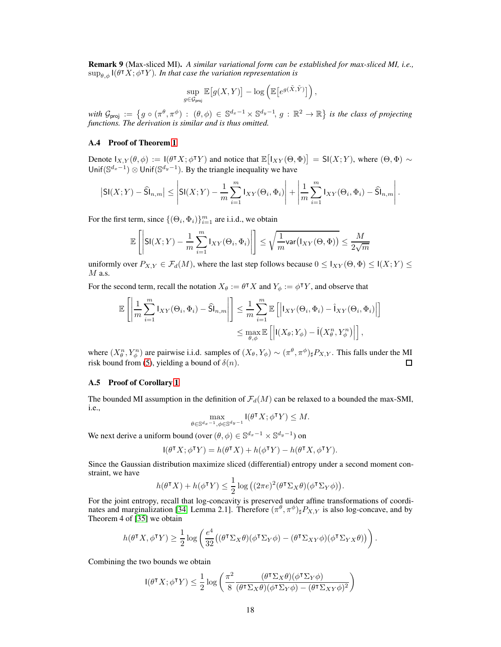Remark 9 (Max-sliced MI). *A similar variational form can be established for max-sliced MI, i.e.,*  $\sup_{\theta, \phi}$  I( $\theta$ <sup>T</sup>X;  $\phi$ <sup>T</sup>Y). In that case the variation representation is

$$
\sup_{g \in \mathcal{G}_{\text{proj}}} \mathbb{E}\big[g(X,Y)\big] - \log \left(\mathbb{E}\big[e^{g(\tilde{X},\tilde{Y})}\big]\right),\,
$$

with  $\mathcal{G}_{\text{proj}} := \{ g \circ (\pi^{\theta}, \pi^{\phi}) : ( \theta, \phi) \in \mathbb{S}^{d_x - 1} \times \mathbb{S}^{d_y - 1}, g : \mathbb{R}^2 \to \mathbb{R} \}$  is the class of projecting *functions. The derivation is similar and is thus omitted.*

#### <span id="page-17-0"></span>A.4 Proof of Theorem [1](#page-5-0)

Denote  $I_{X,Y}(\theta,\phi) := I(\theta^{\intercal} X; \phi^{\intercal} Y)$  and notice that  $\mathbb{E}\big[I_{XY}(\Theta,\Phi)\big] = \mathsf{SI}(X;Y)$ , where  $(\Theta,\Phi) \sim$ Unif $(\mathbb{S}^{d_x-1})$   $\otimes$  Unif $(\mathbb{S}^{d_y-1})$ . By the triangle inequality we have

$$
\left|\mathsf{SI}(X;Y)-\widehat{\mathsf{SI}}_{n,m}\right|\leq\left|\mathsf{SI}(X;Y)-\frac{1}{m}\sum_{i=1}^{m}\mathsf{I}_{XY}(\Theta_i,\Phi_i)\right|+\left|\frac{1}{m}\sum_{i=1}^{m}\mathsf{I}_{XY}(\Theta_i,\Phi_i)-\widehat{\mathsf{SI}}_{n,m}\right|.
$$

For the first term, since  $\{(\Theta_i, \Phi_i)\}_{i=1}^m$  are i.i.d., we obtain

$$
\mathbb{E}\left[\left|\mathsf{SI}(X;Y) - \frac{1}{m}\sum_{i=1}^{m}\mathsf{I}_{XY}(\Theta_i,\Phi_i)\right|\right] \leq \sqrt{\frac{1}{m}\mathsf{var}\big(\mathsf{I}_{XY}(\Theta,\Phi)\big)} \leq \frac{M}{2\sqrt{m}}
$$

uniformly over  $P_{X,Y} \in \mathcal{F}_d(M)$ , where the last step follows because  $0 \leq I_{XY}(\Theta,\Phi) \leq I(X;Y) \leq I(X;Y)$  $M$  a.s.

For the second term, recall the notation  $X_{\theta} := \theta^{\dagger} X$  and  $Y_{\phi} := \phi^{\dagger} Y$ , and observe that

$$
\mathbb{E}\left[\left|\frac{1}{m}\sum_{i=1}^{m}I_{XY}(\Theta_i,\Phi_i)-\widehat{\mathsf{Sl}}_{n,m}\right|\right] \leq \frac{1}{m}\sum_{i=1}^{m}\mathbb{E}\left[\left|I_{XY}(\Theta_i,\Phi_i)-\widehat{I}_{XY}(\Theta_i,\Phi_i)\right|\right] \leq \max_{\theta,\phi}\mathbb{E}\left[\left|I(X_{\theta};Y_{\phi})-\widehat{I}(X_{\theta}^n,Y_{\phi}^n)\right|\right],
$$

where  $(X_\theta^n, Y_\phi^n)$  are pairwise i.i.d. samples of  $(X_\theta, Y_\phi) \sim (\pi^\theta, \pi^\phi)_\sharp P_{X,Y}$ . This falls under the MI risk bound from [\(5\)](#page-4-2), yielding a bound of  $\delta(n)$ .  $\Box$ 

#### <span id="page-17-1"></span>A.5 Proof of Corollary [1](#page-5-3)

The bounded MI assumption in the definition of  $\mathcal{F}_d(M)$  can be relaxed to a bounded the max-SMI, i.e.,

$$
\max_{\theta \in \mathbb{S}^{d_x-1}, \phi \in \mathbb{S}^{d_y-1}} \mathsf{I}(\theta^{\intercal} X; \phi^{\intercal} Y) \leq M.
$$

We next derive a uniform bound (over  $(\theta, \phi) \in \mathbb{S}^{d_x - 1} \times \mathbb{S}^{d_y - 1}$ ) on

$$
I(\theta^{\mathsf{T}} X; \phi^{\mathsf{T}} Y) = h(\theta^{\mathsf{T}} X) + h(\phi^{\mathsf{T}} Y) - h(\theta^{\mathsf{T}} X, \phi^{\mathsf{T}} Y).
$$

Since the Gaussian distribution maximize sliced (differential) entropy under a second moment constraint, we have

$$
h(\theta^{\intercal} X) + h(\phi^{\intercal} Y) \leq \frac{1}{2} \log \left( (2\pi e)^2 (\theta^{\intercal} \Sigma_X \theta)(\phi^{\intercal} \Sigma_Y \phi) \right).
$$

For the joint entropy, recall that log-concavity is preserved under affine transformations of coordi-nates and marginalization [\[34,](#page-12-12) Lemma 2.1]. Therefore  $(\pi^{\theta}, \pi^{\phi})_{\sharp} P_{X,Y}$  is also log-concave, and by Theorem 4 of [\[35\]](#page-12-13) we obtain

$$
h(\theta^{\intercal} X, \phi^{\intercal} Y) \geq \frac{1}{2} \log \left( \frac{e^4}{32} \left( (\theta^{\intercal} \Sigma_X \theta)(\phi^{\intercal} \Sigma_Y \phi) - (\theta^{\intercal} \Sigma_{XY} \phi)(\phi^{\intercal} \Sigma_{YX} \theta) \right) \right).
$$

Combining the two bounds we obtain

$$
\mathsf{I}(\theta^\intercal X; \phi^\intercal Y) \leq \frac{1}{2} \log \left( \frac{\pi^2}{8} \frac{(\theta^\intercal \Sigma_X \theta)(\phi^\intercal \Sigma_Y \phi)}{(\theta^\intercal \Sigma_X \theta)(\phi^\intercal \Sigma_Y \phi) - (\theta^\intercal \Sigma_{XY} \phi)^2} \right)
$$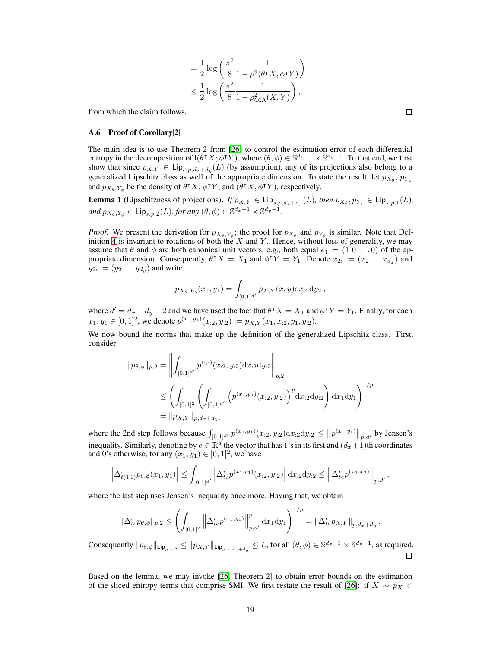$$
= \frac{1}{2} \log \left( \frac{\pi^2}{8} \frac{1}{1 - \rho^2(\theta^{\mathsf{T}} X, \phi^{\mathsf{T}} Y)} \right)
$$
  

$$
\leq \frac{1}{2} \log \left( \frac{\pi^2}{8} \frac{1}{1 - \rho_{\mathsf{CCA}}^2(X, Y)} \right),
$$

<span id="page-18-0"></span>from which the claim follows.

#### A.6 Proof of Corollary [2](#page-6-1)

The main idea is to use Theorem 2 from [\[26\]](#page-12-2) to control the estimation error of each differential entropy in the decomposition of  $I(\theta^{\intercal} X; \phi^{\intercal} Y)$ , where  $(\theta, \phi) \in \mathbb{S}^{d_x-1} \times \mathbb{S}^{d_y-1}$ . To that end, we first show that since  $p_{X,Y} \in \text{Lip}_{s,p,d_x+d_y}(L)$  (by assumption), any of its projections also belong to a generalized Lipschitz class as well of the appropriate dimension. To state the result, let  $p_{X_{\theta}}, p_{Y_{\phi}}$ and  $p_{X_{\theta},Y_{\phi}}$  be the density of  $\theta^{\dagger} X$ ,  $\phi^{\dagger} Y$ , and  $(\theta^{\dagger} X, \phi^{\dagger} Y)$ , respectively.

<span id="page-18-1"></span>**Lemma 1** (Lipschitzness of projections). *If*  $p_{X,Y} \in \text{Lip}_{s,p,d_x+d_y}(L)$ *, then*  $p_{X_\theta}, p_{Y_\phi} \in \text{Lip}_{s,p,1}(L)$ *,*  $and p_{X_{\theta},Y_{\phi}} \in \textsf{Lip}_{s,p,2}(L)$ *, for any*  $(\theta, \phi) \in \mathbb{S}^{d_x-1} \times \mathbb{S}^{d_y-1}$ *.* 

*Proof.* We present the derivation for  $p_{X_{\theta},Y_{\phi}}$ ; the proof for  $p_{X_{\theta}}$  and  $p_{Y_{\phi}}$  is similar. Note that Def-inition [4](#page-5-4) is invariant to rotations of both the  $X$  and  $Y$ . Hence, without loss of generality, we may assume that  $\theta$  and  $\phi$  are both canonical unit vectors, e.g., both equal  $e_1 = (1 \ 0 \ \ldots 0)$  of the appropriate dimension. Consequently,  $\theta^{\intercal} X = X_1$  and  $\phi^{\intercal} Y = Y_1$ . Denote  $x_2 := (x_2 \dots x_{d_x})$  and  $y_{2} := (y_2 \dots y_{d_y})$  and write

$$
p_{X_{\theta},Y_{\phi}}(x_1,y_1) = \int_{[0,1]^{d'}} p_{X,Y}(x,y) \mathrm{d}x_2 \mathrm{d}y_2,
$$

where  $d' = d_x + d_y - 2$  and we have used the fact that  $\theta^{\intercal} X = X_1$  and  $\phi^{\intercal} Y = Y_1$ . Finally, for each  $x_1, y_1 \in [0, 1]^2$ , we denote  $p^{(x_1, y_1)}(x_{.2}, y_{.2}) := p_{X,Y}(x_1, x_{.2}, y_1, y_{.2})$ .

We now bound the norms that make up the definition of the generalized Lipschitz class. First, consider

$$
||p_{\theta,\phi}||_{p,2} = \left\| \int_{[0,1]^{d'}} p^{(\cdot,\cdot)}(x_{:2}, y_{:2}) dx_{:2} dy_{:2} \right\|_{p,2}
$$
  
 
$$
\leq \left( \int_{[0,1]^{2}} \left( \int_{[0,1]^{d'}} \left( p^{(x_{1}, y_{1})}(x_{:2}, y_{:2}) \right)^{p} dx_{:2} dy_{:2} \right) dx_{1} dy_{1} \right)^{1/p}
$$
  
\n
$$
= ||p_{X,Y}||_{p,d_{x}+d_{y}},
$$

where the 2nd step follows because  $\int_{[0,1]^{d'}} p^{(x_1,y_1)}(x_{.2}, y_{.2}) dx_{.2} dy_{.2} \le ||p^{(x_1,y_1)}||_{p,d'}$  by Jensen's inequality. Similarly, denoting by  $e \in \mathbb{R}^d$  the vector that has 1's in its first and  $(d_x+1)$ th coordinates and 0's otherwise, for any  $(x_1, y_1) \in [0, 1]^2$ , we have

$$
\left|\Delta_{t(1\;1)}^r p_{\theta,\phi}(x_1,y_1)\right|\leq \int_{[0,1]^{d'}} \left|\Delta_{te}^r p^{(x_1,y_1)}(x_{:2},y_{:2})\right| {\rm d}x_{:2}{\rm d}y_{:2}\leq \left\|\Delta_{te}^r p^{(x_1,x_2)}\right\|_{p,d'},
$$

where the last step uses Jensen's inequality once more. Having that, we obtain

$$
\|\Delta_{te}^r p_{\theta,\phi}\|_{p,2} \leq \left(\int_{[0,1]^2} \left\|\Delta_{te}^r p^{(x_1,y_1)}\right\|_{p,d'}^p \mathrm{d}x_1 \mathrm{d}y_1\right)^{1/p} = \|\Delta_{te}^r p_{X,Y}\|_{p,d_x+d_y}.
$$

Consequently  $||p_{\theta,\phi}||_{\text{Lip}_{p,s,2}} \le ||p_{X,Y}||_{\text{Lip}_{p,s,d_x+d_y}} \le L$ , for all  $(\theta,\phi) \in \mathbb{S}^{d_x-1} \times \mathbb{S}^{d_y-1}$ , as required.  $\Box$ 

Based on the lemma, we may invoke [\[26,](#page-12-2) Theorem 2] to obtain error bounds on the estimation of the sliced entropy terms that comprise SMI. We first restate the result of [\[26\]](#page-12-2): if  $X \sim p_X \in$ 

19

 $\Box$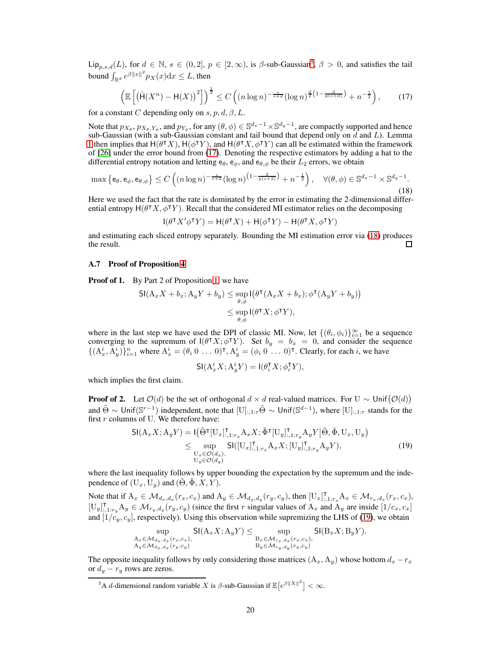Lip<sub>p,s,d</sub>(L), for  $d \in \mathbb{N}$ ,  $s \in (0,2]$ ,  $p \in [2,\infty)$ , is  $\beta$ -sub-Gaussian<sup>[5](#page-19-1)</sup>,  $\beta > 0$ , and satisfies the tail bound  $\int_{\mathbb{R}^d} e^{\beta ||x||^2} p_X(x) dx \leq L$ , then

<span id="page-19-2"></span>
$$
\left(\mathbb{E}\left[\left(\hat{\mathsf{H}}(X^n) - \mathsf{H}(X)\right)^2\right]\right)^{\frac{1}{2}} \le C\left((n\log n)^{-\frac{s}{s+d}}(\log n)^{\frac{d}{2}\left(1-\frac{d}{p(s+d)}\right)} + n^{-\frac{1}{2}}\right),\tag{17}
$$

for a constant C depending only on s, p, d,  $\beta$ , L.

Note that  $p_{X_{\theta}}, p_{X_{\theta},Y_{\phi}}$ , and  $p_{Y_{\phi}}$ , for any  $(\theta, \phi) \in \mathbb{S}^{d_x-1} \times \mathbb{S}^{d_y-1}$ , are compactly supported and hence sub-Gaussian (with a sub-Gaussian constant and tail bound that depend only on  $d$  and  $L$ ). Lemma [1](#page-18-1) then implies that  $H(\theta^{\intercal} X)$ ,  $H(\phi^{\intercal} Y)$ , and  $H(\theta^{\intercal} X, \phi^{\intercal} Y)$  can all be estimated within the framework of [\[26\]](#page-12-2) under the error bound from [\(17\)](#page-19-2). Denoting the respective estimators by adding a hat to the differential entropy notation and letting  $e_{\theta}$ ,  $e_{\phi}$ , and  $e_{\theta,\phi}$  be their  $L_2$  errors, we obtain

$$
\max\left\{ \mathbf{e}_{\theta}, \mathbf{e}_{\phi}, \mathbf{e}_{\theta, \phi} \right\} \le C\left( (n \log n)^{-\frac{s}{s+2}} (\log n)^{\left(1 - \frac{2}{p(s+2)}\right)} + n^{-\frac{1}{2}} \right), \quad \forall (\theta, \phi) \in \mathbb{S}^{d_x - 1} \times \mathbb{S}^{d_y - 1}.
$$
\n(18)

Here we used the fact that the rate is dominated by the error in estimating the 2-dimensional differential entropy  $H(\theta^{\intercal} X, \phi^{\intercal} Y)$ . Recall that the considered MI estimator relies on the decomposing

<span id="page-19-3"></span>
$$
I(\theta^{\mathsf{T}} X' \phi^{\mathsf{T}} Y) = H(\theta^{\mathsf{T}} X) + H(\phi^{\mathsf{T}} Y) - H(\theta^{\mathsf{T}} X, \phi^{\mathsf{T}} Y)
$$

<span id="page-19-0"></span>and estimating each sliced entropy separately. Bounding the MI estimation error via [\(18\)](#page-19-3) produces the result.

#### A.7 Proof of Proposition [4](#page-6-3)

**Proof of 1.** By Part 2 of Proposition [1,](#page-3-0) we have

$$
\mathsf{SI}(A_x X + b_x; A_y Y + b_y) \le \sup_{\theta, \phi} \mathsf{I}(\theta^{\mathsf{T}}(A_x X + b_x); \phi^{\mathsf{T}}(A_y Y + b_y))
$$
  

$$
\le \sup_{\theta, \phi} \mathsf{I}(\theta^{\mathsf{T}} X; \phi^{\mathsf{T}} Y),
$$

where in the last step we have used the DPI of classic MI. Now, let  $\{(\theta_i, \phi_i)\}_{i=1}^{\infty}$  be a sequence converging to the supremum of  $I(\theta^{\intercal} X; \phi^{\intercal} Y)$ . Set  $b_y = b_x = 0$ , and consider the sequence  $\{(A_x^i, A_y^i)\}_{i=1}^n$  where  $A_x^i = (\theta_i \ 0 \ \dots \ 0)^{\intercal}, A_y^i = (\phi_i \ 0 \ \dots \ 0)^{\intercal}$ . Clearly, for each i, we have

$$
\mathsf{SI}(\mathbf{A}^i_x X; \mathbf{A}^i_y Y) = \mathsf{I}(\theta^{\intercal}_i X; \phi^{\intercal}_i Y),
$$

which implies the first claim.

<span id="page-19-4"></span>**Proof of 2.** Let  $\mathcal{O}(d)$  be the set of orthogonal  $d \times d$  real-valued matrices. For U ~ Unif $(\mathcal{O}(d))$ and  $\tilde{\Theta} \sim \text{Unif}(\mathbb{S}^{r-1})$  independent, note that  $[\text{U}]_{:,1:r}\tilde{\Theta} \sim \text{Unif}(\mathbb{S}^{d-1})$ , where  $[\text{U}]_{:,1:r}$  stands for the first  $r$  columns of U. We therefore have:

$$
\mathsf{SI}(A_x X; A_y Y) = \mathsf{I}(\tilde{\Theta}^\intercal [U_x]_{:,1:r_x}^\intercal A_x X; \tilde{\Phi}^\intercal [U_y]_{:,1:r_y}^\intercal A_y Y | \tilde{\Theta}, \tilde{\Phi}, U_x, U_y) \leq \sup_{\substack{U_x \in \mathcal{O}(d_x), \\ U_y \in \mathcal{O}(d_y)}} \mathsf{SI}([U_x]_{:,1:r_x}^\intercal A_x X; [U_y]_{:,1:r_y}^\intercal A_y Y),
$$
\n(19)

where the last inequality follows by upper bounding the expectation by the supremum and the independence of  $(U_x, U_y)$  and  $(\Theta, \Phi, X, Y)$ .

Note that if  $A_x \in \mathcal{M}_{d_x,d_x}(r_x,c_x)$  and  $A_y \in \mathcal{M}_{d_y,d_y}(r_y,c_y)$ , then  $[\mathbf{U}_x]_{:,1:r_x}^{\mathsf{T}} A_x \in \mathcal{M}_{r_x,d_x}(r_x,c_x)$ ,  $[\mathbf{U}_y]_{,1:r_y}^{\mathsf{T}} \mathbf{A}_y \in \mathcal{M}_{r_y,d_y}(r_y,c_y)$  (since the first r singular values of  $\mathbf{A}_x$  and  $\mathbf{A}_y$  are inside  $[1/c_x,c_x]$ and  $[1/c_y, c_y]$ , respectively). Using this observation while supremizing the LHS of [\(19\)](#page-19-4), we obtain

$$
\sup_{\substack{\mathbf{A}_x \in \mathcal{M}_{d_x,d_x}(r_x,c_x), \\ \mathbf{A}_y \in \mathcal{M}_{d_x,d_x}(r_y,c_y)}} \mathsf{SI}(\mathbf{A}_x X; \mathbf{A}_y Y) \le \sup_{\substack{\mathbf{B}_x \in \mathcal{M}_{r_x,d_x}(r_x,c_x), \\ \mathbf{B}_y \in \mathcal{M}_{r_y,d_y}(r_y,c_y)}} \mathsf{SI}(\mathbf{B}_x X; \mathbf{B}_y Y).
$$

The opposite inequality follows by only considering those matrices  $(A_x, A_y)$  whose bottom  $d_x - r_x$ or  $d_y - r_y$  rows are zeros.

<span id="page-19-1"></span><sup>&</sup>lt;sup>5</sup>A d-dimensional random variable X is  $\beta$ -sub-Gaussian if  $\mathbb{E}[e^{\beta ||X||^2}] < \infty$ .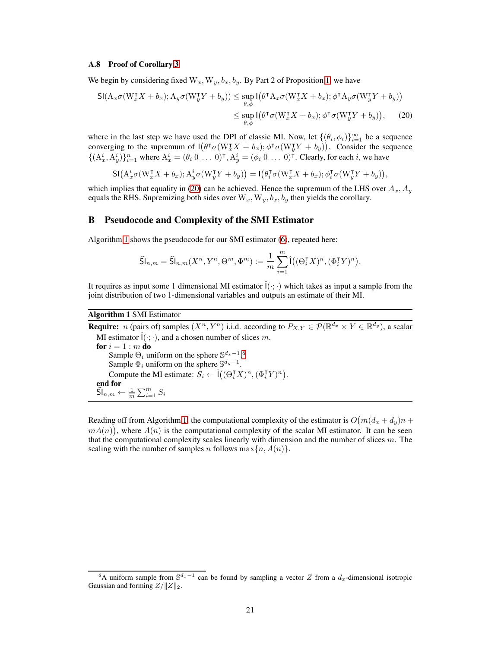#### <span id="page-20-1"></span>A.8 Proof of Corollary [3](#page-7-1)

We begin by considering fixed  $W_x, W_y, b_x, b_y$ . By Part 2 of Proposition [1,](#page-3-0) we have

$$
\mathsf{SI}(A_x \sigma(W_x^{\mathsf{T}} X + b_x); A_y \sigma(W_y^{\mathsf{T}} Y + b_y)) \le \sup_{\theta, \phi} \mathsf{I}(\theta^{\mathsf{T}} A_x \sigma(W_x^{\mathsf{T}} X + b_x); \phi^{\mathsf{T}} A_y \sigma(W_y^{\mathsf{T}} Y + b_y))
$$
  

$$
\le \sup_{\theta, \phi} \mathsf{I}(\theta^{\mathsf{T}} \sigma(W_x^{\mathsf{T}} X + b_x); \phi^{\mathsf{T}} \sigma(W_y^{\mathsf{T}} Y + b_y)), \quad (20)
$$

where in the last step we have used the DPI of classic MI. Now, let  $\{(\theta_i, \phi_i)\}_{i=1}^{\infty}$  be a sequence converging to the supremum of  $I(\theta^{\intercal} \sigma(W_x^{\intercal} X + b_x); \phi^{\intercal} \sigma(W_y^{\intercal} Y + b_y))$ . Consider the sequence  $\{(A_x^i, A_y^i)\}_{i=1}^n$  where  $A_x^i = (\theta_i \ 0 \ \dots \ 0)^{\intercal}, A_y^i = (\phi_i \ 0 \ \dots \ 0)^{\intercal}$ . Clearly, for each i, we have

$$
\mathsf{SI}\big(\mathbf{A}_x^i \sigma(\mathbf{W}_x^{\sf T} X + b_x); \mathbf{A}_y^i \sigma(\mathbf{W}_y^{\sf T} Y + b_y)\big) = \mathbf{I}\big(\theta_i^{\sf T} \sigma(\mathbf{W}_x^{\sf T} X + b_x); \phi_i^{\sf T} \sigma(\mathbf{W}_y^{\sf T} Y + b_y)\big),
$$

which implies that equality in [\(20\)](#page-20-1) can be achieved. Hence the supremum of the LHS over  $A_x$ ,  $A_y$ equals the RHS. Supremizing both sides over  $W_x, W_y, b_x, b_y$  then yields the corollary.

## <span id="page-20-0"></span>B Pseudocode and Complexity of the SMI Estimator

Algorithm [1](#page-20-2) shows the pseudocode for our SMI estimator [\(6\)](#page-4-1), repeated here:

$$
\widehat{\mathsf{Sl}}_{n,m} = \widehat{\mathsf{Sl}}_{n,m}(X^n,Y^n,\Theta^m,\Phi^m) := \frac{1}{m}\sum_{i=1}^m \widehat{\mathsf{I}}\big((\Theta_i^\intercal X)^n,(\Phi_i^\intercal Y)^n\big).
$$

It requires as input some 1 dimensional MI estimator  $\hat{I}(\cdot;\cdot)$  which takes as input a sample from the joint distribution of two 1-dimensional variables and outputs an estimate of their MI.

## <span id="page-20-2"></span>Algorithm 1 SMI Estimator

**Require:** *n* (pairs of) samples  $(X^n, Y^n)$  i.i.d. according to  $P_{X,Y} \in \mathcal{P}(\mathbb{R}^{d_x} \times Y \in \mathbb{R}^{d_y})$ , a scalar MI estimator  $\hat{I}(\cdot; \cdot)$ , and a chosen number of slices m. for  $i = 1 : m$  do Sample  $\Theta_i$  uniform on the sphere  $\mathbb{S}^{d_x-1}$ .<sup>[6](#page-20-3)</sup> Sample  $\Phi_i$  uniform on the sphere  $\mathbb{S}^{d_y-1}$ . Compute the MI estimate:  $S_i \leftarrow \hat{\mathfrak{l}}((\Theta_i^{\mathsf{T}} X)^n, (\Phi_i^{\mathsf{T}} Y)^n)$ . end for  $\widehat{\mathsf{Sl}}_{n,m} \leftarrow \frac{1}{m} \sum_{i=1}^{m} S_i$ 

Reading off from Algorithm [1,](#page-20-2) the computational complexity of the estimator is  $O(m(d_x + d_y)n +$  $mA(n)$ , where  $A(n)$  is the computational complexity of the scalar MI estimator. It can be seen that the computational complexity scales linearly with dimension and the number of slices  $m$ . The scaling with the number of samples n follows  $\max\{n, A(n)\}.$ 

<span id="page-20-3"></span><sup>&</sup>lt;sup>6</sup>A uniform sample from  $\mathbb{S}^{d_x-1}$  can be found by sampling a vector Z from a  $d_x$ -dimensional isotropic Gaussian and forming  $Z/\Vert Z \Vert_2$ .